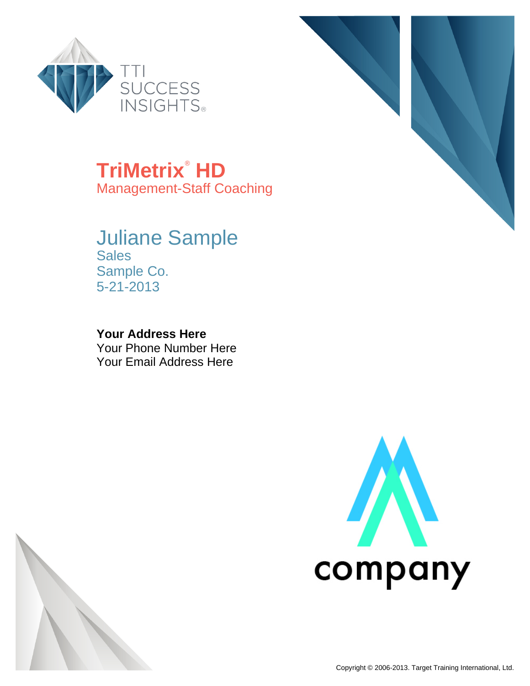

**TriMetrix**®  **HD**

Management-Staff Coaching

## Juliane Sample **Sales** Sample Co. 5-21-2013

**Your Address Here** Your Phone Number Here Your Email Address Here





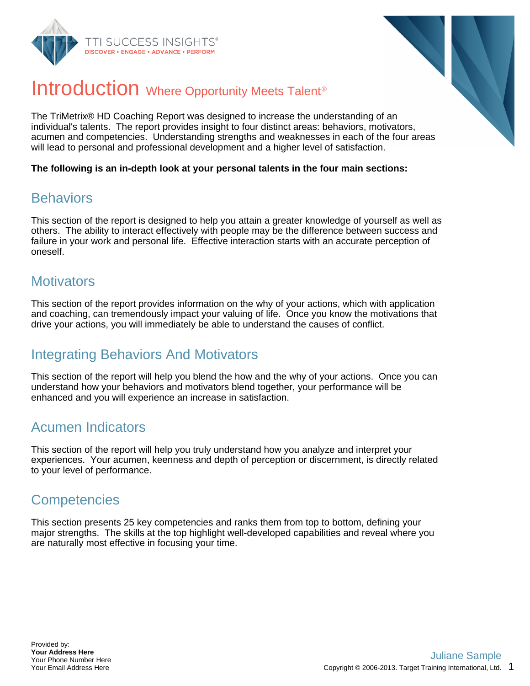



## Introduction Where Opportunity Meets Talent<sup>®</sup>

The TriMetrix® HD Coaching Report was designed to increase the understanding of an individual's talents. The report provides insight to four distinct areas: behaviors, motivators, acumen and competencies. Understanding strengths and weaknesses in each of the four areas will lead to personal and professional development and a higher level of satisfaction.

**The following is an in-depth look at your personal talents in the four main sections:**

### **Behaviors**

This section of the report is designed to help you attain a greater knowledge of yourself as well as others. The ability to interact effectively with people may be the difference between success and failure in your work and personal life. Effective interaction starts with an accurate perception of oneself.

### **Motivators**

This section of the report provides information on the why of your actions, which with application and coaching, can tremendously impact your valuing of life. Once you know the motivations that drive your actions, you will immediately be able to understand the causes of conflict.

## Integrating Behaviors And Motivators

This section of the report will help you blend the how and the why of your actions. Once you can understand how your behaviors and motivators blend together, your performance will be enhanced and you will experience an increase in satisfaction.

## Acumen Indicators

This section of the report will help you truly understand how you analyze and interpret your experiences. Your acumen, keenness and depth of perception or discernment, is directly related to your level of performance.

## **Competencies**

This section presents 25 key competencies and ranks them from top to bottom, defining your major strengths. The skills at the top highlight well-developed capabilities and reveal where you are naturally most effective in focusing your time.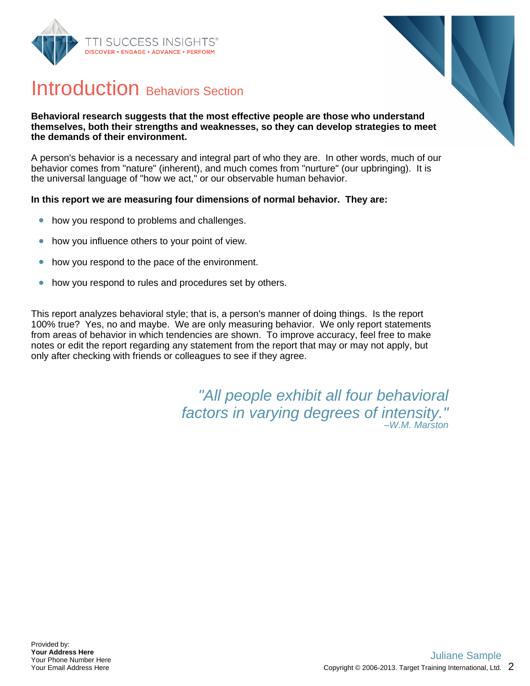



## Introduction Behaviors Section

#### **Behavioral research suggests that the most effective people are those who understand themselves, both their strengths and weaknesses, so they can develop strategies to meet the demands of their environment.**

A person's behavior is a necessary and integral part of who they are. In other words, much of our behavior comes from "nature" (inherent), and much comes from "nurture" (our upbringing). It is the universal language of "how we act," or our observable human behavior.

### **In this report we are measuring four dimensions of normal behavior. They are:**

- how you respond to problems and challenges.  $\bullet$
- how you influence others to your point of view.  $\bullet$
- how you respond to the pace of the environment.  $\bullet$
- how you respond to rules and procedures set by others.  $\bullet$

This report analyzes behavioral style; that is, a person's manner of doing things. Is the report 100% true? Yes, no and maybe. We are only measuring behavior. We only report statements from areas of behavior in which tendencies are shown. To improve accuracy, feel free to make notes or edit the report regarding any statement from the report that may or may not apply, but only after checking with friends or colleagues to see if they agree.

> "All people exhibit all four behavioral factors in varying degrees of intensity." –W.M. Marston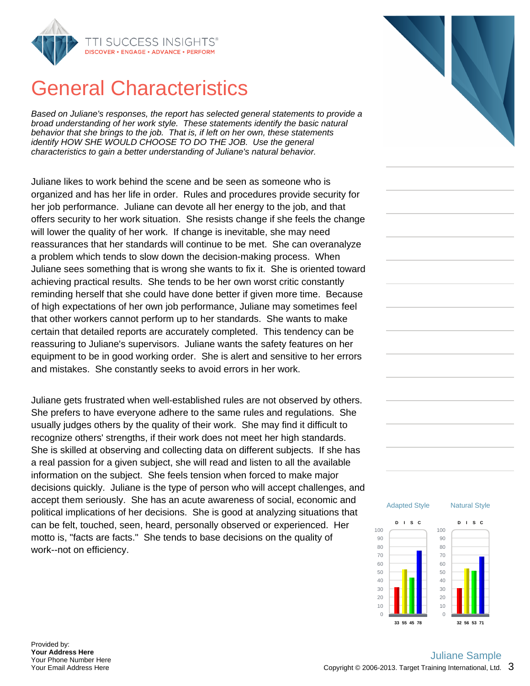

## General Characteristics

Based on Juliane's responses, the report has selected general statements to provide a broad understanding of her work style. These statements identify the basic natural behavior that she brings to the job. That is, if left on her own, these statements identify HOW SHE WOULD CHOOSE TO DO THE JOB. Use the general characteristics to gain a better understanding of Juliane's natural behavior.

Juliane likes to work behind the scene and be seen as someone who is organized and has her life in order. Rules and procedures provide security for her job performance. Juliane can devote all her energy to the job, and that offers security to her work situation. She resists change if she feels the change will lower the quality of her work. If change is inevitable, she may need reassurances that her standards will continue to be met. She can overanalyze a problem which tends to slow down the decision-making process. When Juliane sees something that is wrong she wants to fix it. She is oriented toward achieving practical results. She tends to be her own worst critic constantly reminding herself that she could have done better if given more time. Because of high expectations of her own job performance, Juliane may sometimes feel that other workers cannot perform up to her standards. She wants to make certain that detailed reports are accurately completed. This tendency can be reassuring to Juliane's supervisors. Juliane wants the safety features on her equipment to be in good working order. She is alert and sensitive to her errors and mistakes. She constantly seeks to avoid errors in her work.

Juliane gets frustrated when well-established rules are not observed by others. She prefers to have everyone adhere to the same rules and regulations. She usually judges others by the quality of their work. She may find it difficult to recognize others' strengths, if their work does not meet her high standards. She is skilled at observing and collecting data on different subjects. If she has a real passion for a given subject, she will read and listen to all the available information on the subject. She feels tension when forced to make major decisions quickly. Juliane is the type of person who will accept challenges, and accept them seriously. She has an acute awareness of social, economic and political implications of her decisions. She is good at analyzing situations that can be felt, touched, seen, heard, personally observed or experienced. Her motto is, "facts are facts." She tends to base decisions on the quality of work--not on efficiency.





Provided by: **Your Address Here** Your Phone Number Here Your Email Address Here

### Copyright © 2006-2013. Target Training International, Ltd.  $\,$   $3\,$ Juliane Sample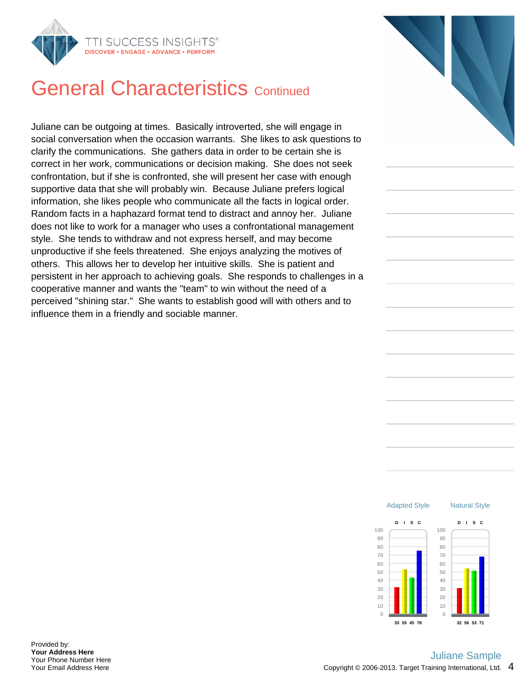

## **General Characteristics Continued**

Juliane can be outgoing at times. Basically introverted, she will engage in social conversation when the occasion warrants. She likes to ask questions to clarify the communications. She gathers data in order to be certain she is correct in her work, communications or decision making. She does not seek confrontation, but if she is confronted, she will present her case with enough supportive data that she will probably win. Because Juliane prefers logical information, she likes people who communicate all the facts in logical order. Random facts in a haphazard format tend to distract and annoy her. Juliane does not like to work for a manager who uses a confrontational management style. She tends to withdraw and not express herself, and may become unproductive if she feels threatened. She enjoys analyzing the motives of others. This allows her to develop her intuitive skills. She is patient and persistent in her approach to achieving goals. She responds to challenges in a cooperative manner and wants the "team" to win without the need of a perceived "shining star." She wants to establish good will with others and to influence them in a friendly and sociable manner.



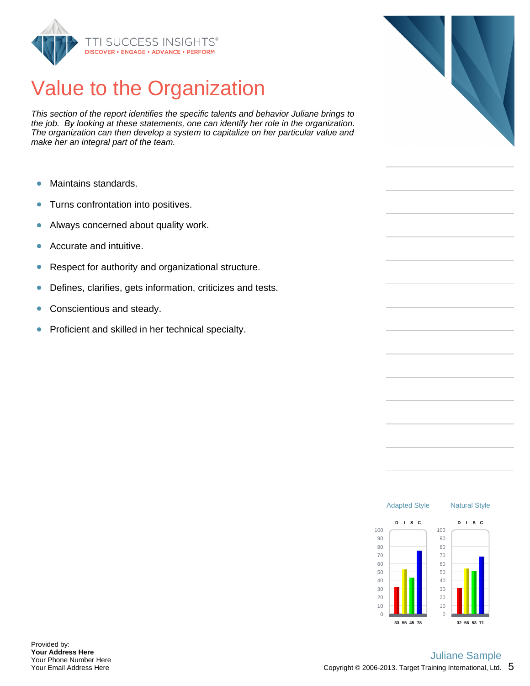

# Value to the Organization

This section of the report identifies the specific talents and behavior Juliane brings to the job. By looking at these statements, one can identify her role in the organization. The organization can then develop a system to capitalize on her particular value and make her an integral part of the team.

- Maintains standards. Ŏ
- Turns confrontation into positives.  $\bullet$
- Always concerned about quality work.  $\bullet$
- Accurate and intuitive.  $\bullet$
- Respect for authority and organizational structure.  $\bullet$
- Defines, clarifies, gets information, criticizes and tests.  $\bullet$
- $\bullet$ Conscientious and steady.
- Proficient and skilled in her technical specialty.  $\bullet$



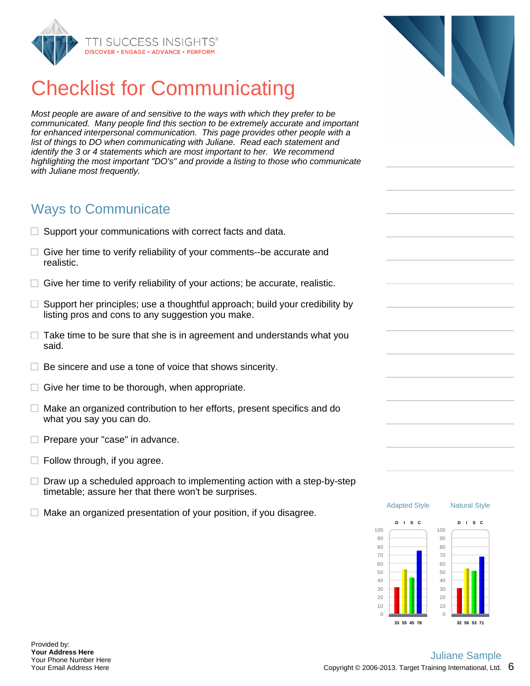

# Checklist for Communicating

Most people are aware of and sensitive to the ways with which they prefer to be communicated. Many people find this section to be extremely accurate and important for enhanced interpersonal communication. This page provides other people with a list of things to DO when communicating with Juliane. Read each statement and identify the 3 or 4 statements which are most important to her. We recommend highlighting the most important "DO's" and provide a listing to those who communicate with Juliane most frequently.

### Ways to Communicate

- $\Box$  Support your communications with correct facts and data.
- $\Box$  Give her time to verify reliability of your comments--be accurate and realistic.
- $\Box$  Give her time to verify reliability of your actions; be accurate, realistic.
- $\Box$  Support her principles; use a thoughtful approach; build your credibility by listing pros and cons to any suggestion you make.
- $\Box$  Take time to be sure that she is in agreement and understands what you said.
- $\Box$  Be sincere and use a tone of voice that shows sincerity.
- $\Box$  Give her time to be thorough, when appropriate.
- $\Box$  Make an organized contribution to her efforts, present specifics and do what you say you can do.
- $\Box$  Prepare your "case" in advance.
- $\Box$  Follow through, if you agree.
- $\Box$  Draw up a scheduled approach to implementing action with a step-by-step timetable; assure her that there won't be surprises.
- $\Box$  Make an organized presentation of your position, if you disagree.



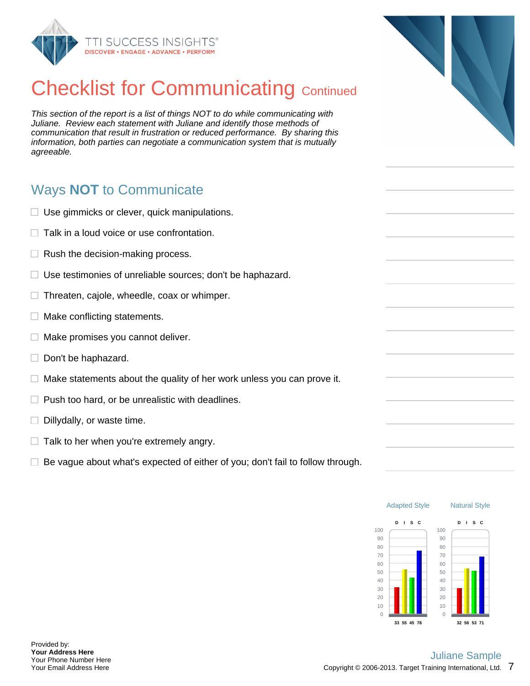

# **Checklist for Communicating Continued**

This section of the report is a list of things NOT to do while communicating with Juliane. Review each statement with Juliane and identify those methods of communication that result in frustration or reduced performance. By sharing this information, both parties can negotiate a communication system that is mutually agreeable.

## Ways **NOT** to Communicate

- $\Box$  Use gimmicks or clever, quick manipulations.
- $\Box$  Talk in a loud voice or use confrontation.
- $\Box$  Rush the decision-making process.
- $\Box$  Use testimonies of unreliable sources; don't be haphazard.
- $\Box$  Threaten, cajole, wheedle, coax or whimper.
- $\Box$  Make conflicting statements.
- $\Box$ Make promises you cannot deliver.
- $\Box$  Don't be haphazard.
- $\Box$  Make statements about the quality of her work unless you can prove it.
- $\Box$  Push too hard, or be unrealistic with deadlines.
- $\Box$  Dillydally, or waste time.
- $\Box$  Talk to her when you're extremely angry.
- $\Box$  Be vague about what's expected of either of you; don't fail to follow through.



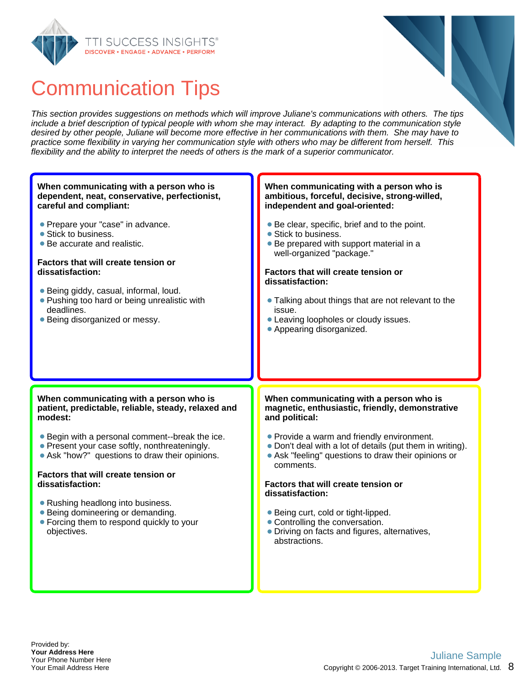



This section provides suggestions on methods which will improve Juliane's communications with others. The tips include a brief description of typical people with whom she may interact. By adapting to the communication style desired by other people, Juliane will become more effective in her communications with them. She may have to practice some flexibility in varying her communication style with others who may be different from herself. This flexibility and the ability to interpret the needs of others is the mark of a superior communicator.

#### **When communicating with a person who is ambitious, forceful, decisive, strong-willed, independent and goal-oriented:** Be clear, specific, brief and to the point. • Stick to business. • Be prepared with support material in a well-organized "package." **Factors that will create tension or dissatisfaction:** Talking about things that are not relevant to the issue. Leaving loopholes or cloudy issues. • Appearing disorganized. **When communicating with a person who is magnetic, enthusiastic, friendly, demonstrative and political:** • Provide a warm and friendly environment. Don't deal with a lot of details (put them in writing). Ask "feeling" questions to draw their opinions or comments. **Factors that will create tension or dissatisfaction:** ● Being curt, cold or tight-lipped. Controlling the conversation. Driving on facts and figures, alternatives, abstractions. **When communicating with a person who is patient, predictable, reliable, steady, relaxed and modest:** Begin with a personal comment--break the ice. • Present your case softly, nonthreateningly. Ask "how?" questions to draw their opinions. **Factors that will create tension or dissatisfaction:** • Rushing headlong into business. • Being domineering or demanding. • Forcing them to respond quickly to your objectives. **When communicating with a person who is dependent, neat, conservative, perfectionist, careful and compliant: Prepare your "case" in advance.** • Stick to business. Be accurate and realistic. **Factors that will create tension or dissatisfaction:** Being giddy, casual, informal, loud. • Pushing too hard or being unrealistic with deadlines. • Being disorganized or messy.

### Copyright © 2006-2013. Target Training International, Ltd.  $8$ Juliane Sample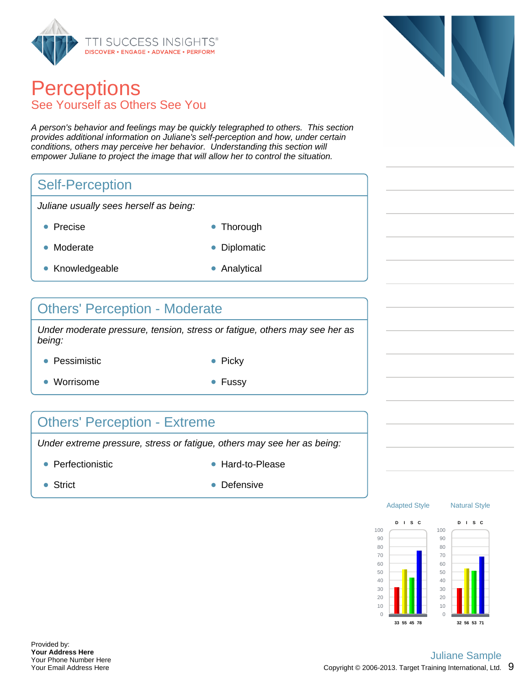

## **Perceptions** See Yourself as Others See You

A person's behavior and feelings may be quickly telegraphed to others. This section provides additional information on Juliane's self-perception and how, under certain conditions, others may perceive her behavior. Understanding this section will empower Juliane to project the image that will allow her to control the situation.

## Self-Perception

Juliane usually sees herself as being:

- 
- Precise **Thorough**
- Moderate **Diplomatic**
- 
- Knowledgeable **Analytical** 
	-

### Others' Perception - Moderate

Under moderate pressure, tension, stress or fatigue, others may see her as being:

- Pessimistic **Picky** Picky
	-
- Worrisome  **Fussy**
- 

## Others' Perception - Extreme

Under extreme pressure, stress or fatigue, others may see her as being:

- Perfectionistic and the Hard-to-Please
	-

- 
- Strict Defensive





Natural Style

Adapted Style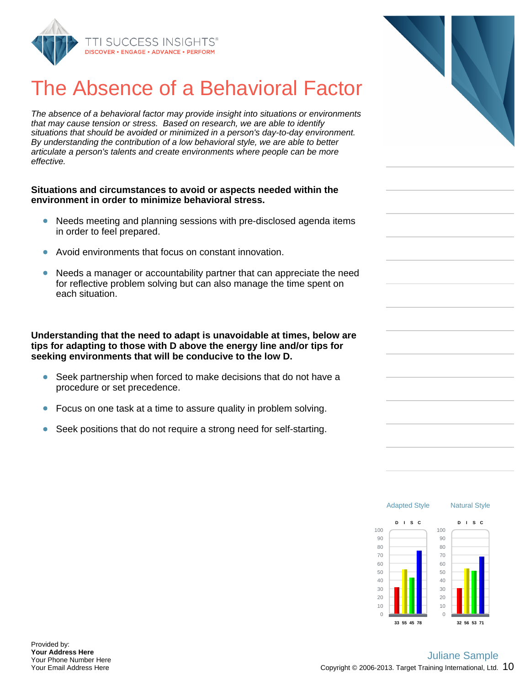

# The Absence of a Behavioral Fact

The absence of a behavioral factor may provide insight into situations or environments that may cause tension or stress. Based on research, we are able to identify situations that should be avoided or minimized in a person's day-to-day environme By understanding the contribution of a low behavioral style, we are able to better articulate a person's talents and create environments where people can be more effective.

#### **Situations and circumstances to avoid or aspects needed within the environment in order to minimize behavioral stress.**

- Needs meeting and planning sessions with pre-disclosed agenda iter in order to feel prepared.
- Avoid environments that focus on constant innovation.
- $\bullet$ Needs a manager or accountability partner that can appreciate the need for reflective problem solving but can also manage the time spent on each situation.

**Understanding that the need to adapt is unavoidable at times, below are tips for adapting to those with D above the energy line and/or tips for seeking environments that will be conducive to the low D.**

- Seek partnership when forced to make decisions that do not have a procedure or set precedence.
- Focus on one task at a time to assure quality in problem solving.
- Seek positions that do not require a strong need for self-starting.

| or   |  |
|------|--|
| ents |  |
| nt.  |  |
|      |  |
|      |  |
|      |  |
| ms   |  |
|      |  |
| eed  |  |
|      |  |
|      |  |
| are  |  |
|      |  |
|      |  |
|      |  |
|      |  |
|      |  |
|      |  |

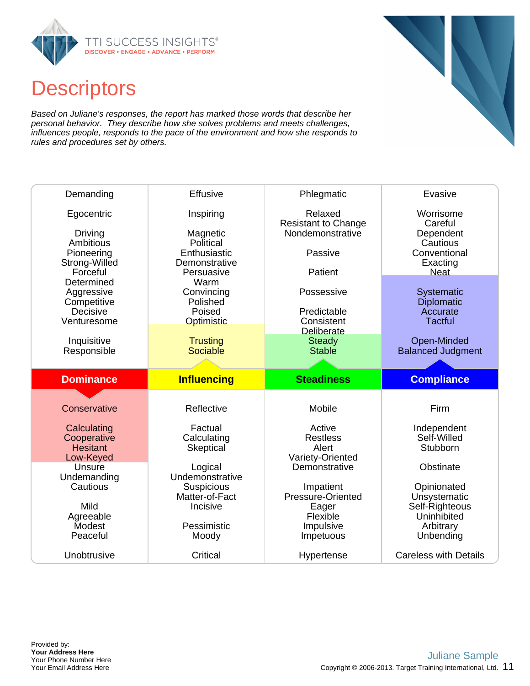

## **Descriptors**

Based on Juliane's responses, the report has marked those words that describe her personal behavior. They describe how she solves problems and meets challenges, influences people, responds to the pace of the environment and how she responds to rules and procedures set by others.

| Demanding                      | Effusive                        | Phlegmatic                            | Evasive                                 |
|--------------------------------|---------------------------------|---------------------------------------|-----------------------------------------|
| Egocentric                     | Inspiring                       | Relaxed<br><b>Resistant to Change</b> | Worrisome<br>Careful                    |
| Driving<br>Ambitious           | Magnetic<br>Political           | Nondemonstrative                      | Dependent<br>Cautious                   |
| Pioneering<br>Strong-Willed    | Enthusiastic<br>Demonstrative   | Passive                               | Conventional<br>Exacting                |
| Forceful<br>Determined         | Persuasive<br>Warm              | Patient                               | <b>Neat</b>                             |
| Aggressive                     | Convincing<br>Polished          | Possessive                            | Systematic                              |
| Competitive<br>Decisive        | Poised                          | Predictable                           | Diplomatic<br>Accurate                  |
| Venturesome                    | Optimistic                      | Consistent<br><b>Deliberate</b>       | <b>Tactful</b>                          |
| Inquisitive<br>Responsible     | <b>Trusting</b><br>Sociable     | <b>Steady</b><br><b>Stable</b>        | Open-Minded<br><b>Balanced Judgment</b> |
|                                |                                 |                                       |                                         |
|                                |                                 |                                       |                                         |
| <b>Dominance</b>               | <b>Influencing</b>              | <b>Steadiness</b>                     | <b>Compliance</b>                       |
|                                |                                 |                                       |                                         |
| Conservative                   | Reflective                      | Mobile                                | Firm                                    |
| Calculating                    | Factual                         | Active                                | Independent                             |
| Cooperative<br><b>Hesitant</b> | Calculating<br><b>Skeptical</b> | <b>Restless</b><br>Alert              | Self-Willed<br>Stubborn                 |
| Low-Keyed                      |                                 | Variety-Oriented                      |                                         |
| Unsure<br>Undemanding          | Logical<br>Undemonstrative      | Demonstrative                         | Obstinate                               |
| Cautious                       | <b>Suspicious</b>               | Impatient                             | Opinionated                             |
| Mild                           | Matter-of-Fact<br>Incisive      | Pressure-Oriented<br>Eager            | Unsystematic<br>Self-Righteous          |
| Agreeable<br>Modest            | Pessimistic                     | Flexible<br>Impulsive                 | Uninhibited<br>Arbitrary                |
| Peaceful                       | Moody                           | Impetuous                             | Unbending                               |

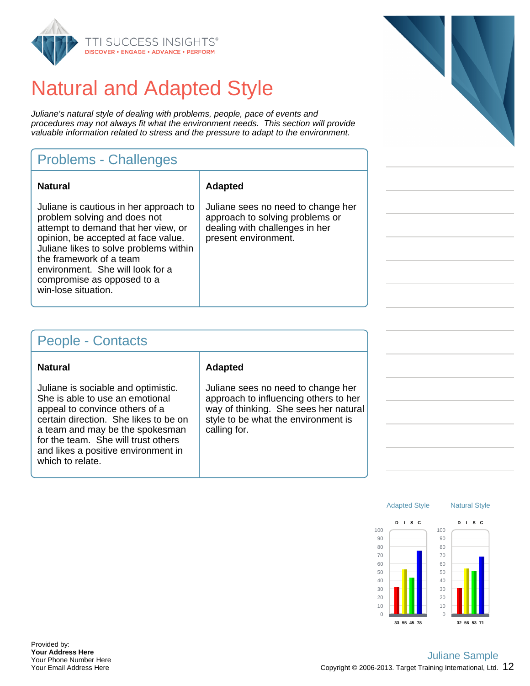

# Natural and Adapted Style

Juliane's natural style of dealing with problems, people, pace of events and procedures may not always fit what the environment needs. This section will provide valuable information related to stress and the pressure to adapt to the environment.

## Problems - Challenges

| <b>Natural</b>                                                                                                                                                                                                                                                                                                     | <b>Adapted</b>                                  |
|--------------------------------------------------------------------------------------------------------------------------------------------------------------------------------------------------------------------------------------------------------------------------------------------------------------------|-------------------------------------------------|
| Juliane is cautious in her approach to<br>problem solving and does not<br>attempt to demand that her view, or<br>opinion, be accepted at face value.<br>Juliane likes to solve problems within<br>the framework of a team<br>environment. She will look for a<br>compromise as opposed to a<br>win-lose situation. | Juliane s<br>approach<br>dealing w<br>present e |

liane sees no need to change her proach to solving problems or aling with challenges in her esent environment.

### People - Contacts

| <b>Natural</b> |
|----------------|
|----------------|

Juliane is sociable and optimistic. She is able to use an emotional appeal to convince others of a certain direction. She likes to be on a team and may be the spokesman for the team. She will trust others and likes a positive environment in which to relate.

### **Natural Adapted**

Juliane sees no need to change her approach to influencing others to her way of thinking. She sees her natural style to be what the environment is calling for.





Provided by: **Your Address Here** Your Phone Number Here Your Email Address Here

### Copyright © 2006-2013. Target Training International, Ltd.  $12$ Juliane Sample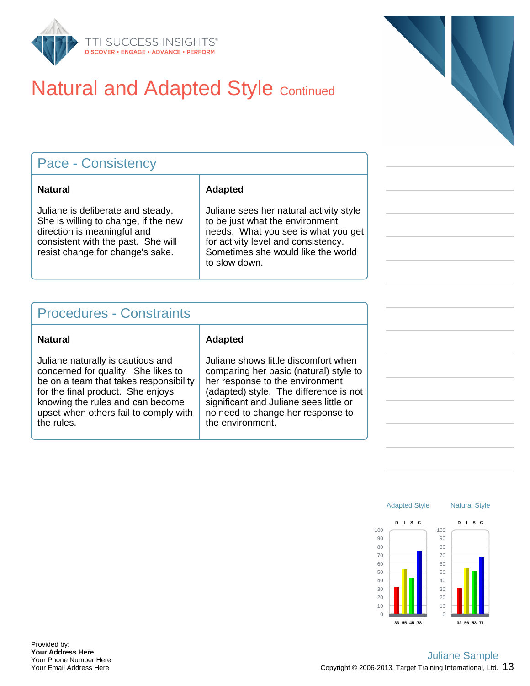

# **Natural and Adapted Style Continued**

| <b>Pace - Consistency</b>                                                                                                                                                          |                                                                                                                                                                                                                 |  |
|------------------------------------------------------------------------------------------------------------------------------------------------------------------------------------|-----------------------------------------------------------------------------------------------------------------------------------------------------------------------------------------------------------------|--|
| Natural                                                                                                                                                                            | <b>Adapted</b>                                                                                                                                                                                                  |  |
| Juliane is deliberate and steady.<br>She is willing to change, if the new<br>direction is meaningful and<br>consistent with the past. She will<br>resist change for change's sake. | Juliane sees her natural activity style<br>to be just what the environment<br>needs. What you see is what you get<br>for activity level and consistency.<br>Sometimes she would like the world<br>to slow down. |  |

## Procedures - Constraints

#### **Natural Adapted**

Juliane naturally is cautious and concerned for quality. She likes to be on a team that takes responsibility for the final product. She enjoys knowing the rules and can become upset when others fail to comply with the rules.

Juliane shows little discomfort when comparing her basic (natural) style to her response to the environment (adapted) style. The difference is not significant and Juliane sees little or no need to change her response to the environment.

> Adapted Style 100 90 80 70 60 50 40 30 20 10  $\Omega$ **D I S C 33 55 45 78** Natural Style 100 90 80 70 60 50 40 30 20 10  $\theta$ **D I S C 32 56 53 71**

Provided by: **Your Address Here** Your Phone Number Here Your Email Address Here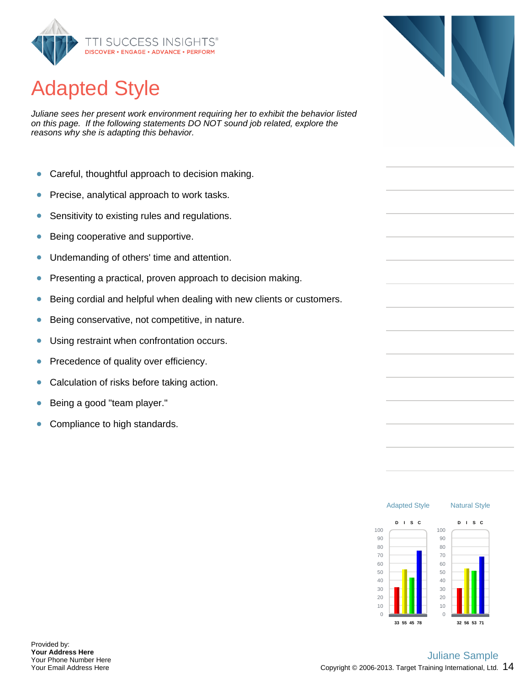

# Adapted Style

Juliane sees her present work environment requiring her to exhibit the behavior listed on this page. If the following statements DO NOT sound job related, explore the reasons why she is adapting this behavior.

- $\bullet$ Careful, thoughtful approach to decision making.
- Precise, analytical approach to work tasks.  $\bullet$
- Sensitivity to existing rules and regulations.  $\bullet$
- Being cooperative and supportive.  $\bullet$
- Undemanding of others' time and attention.  $\bullet$
- Presenting a practical, proven approach to decision making.  $\bullet$
- $\bullet$ Being cordial and helpful when dealing with new clients or customers.
- Being conservative, not competitive, in nature.  $\bullet$
- $\bullet$ Using restraint when confrontation occurs.
- Precedence of quality over efficiency. ŏ
- Calculation of risks before taking action.  $\bullet$
- Being a good "team player." Ŏ
- Compliance to high standards.  $\bullet$

**33 55 45 78**

 $\Omega$ 





 $\theta$ 

**32 56 53 71**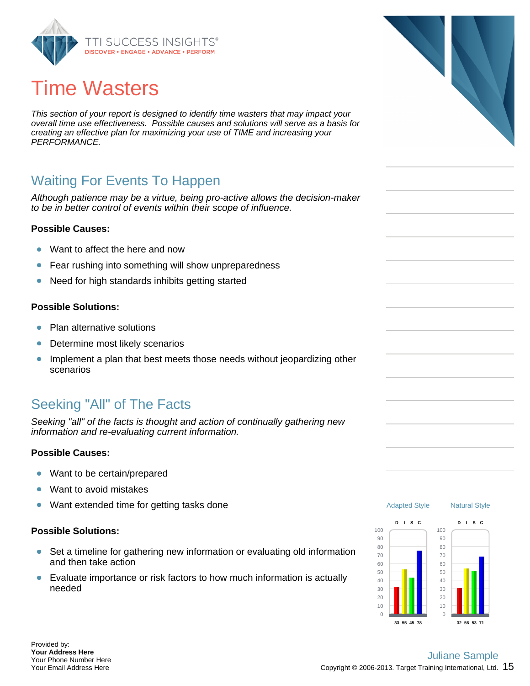

# Time Wasters

This section of your report is designed to identify time wasters that may impact your overall time use effectiveness. Possible causes and solutions will serve as a basis for creating an effective plan for maximizing your use of TIME and increasing your PERFORMANCE.

## Waiting For Events To Happen

Although patience may be a virtue, being pro-active allows the decision-maker to be in better control of events within their scope of influence.

### **Possible Causes:**

- Want to affect the here and now  $\bullet$
- $\bullet$ Fear rushing into something will show unpreparedness
- Need for high standards inhibits getting started  $\bullet$

### **Possible Solutions:**

- Plan alternative solutions ö
- $\bullet$ Determine most likely scenarios
- Implement a plan that best meets those needs without jeopardizing other scenarios

## Seeking "All" of The Facts

Seeking "all" of the facts is thought and action of continually gathering new information and re-evaluating current information.

#### **Possible Causes:**

- Want to be certain/prepared  $\bullet$
- ö Want to avoid mistakes
- Want extended time for getting tasks done  $\bullet$

#### **Possible Solutions:**

- Set a timeline for gathering new information or evaluating old information  $\bullet$ and then take action
- $\bullet$ Evaluate importance or risk factors to how much information is actually needed





 $\Omega$ 

**32 56 53 71**

Provided by: **Your Address Here** Your Phone Number Here Your Email Address Here

### Copyright © 2006-2013. Target Training International, Ltd.  $~15$ Juliane Sample

**33 55 45 78**

 $\Omega$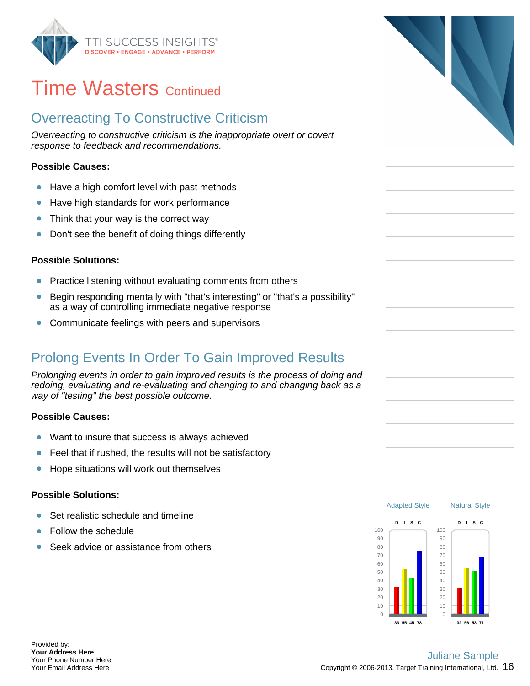

## **Time Wasters Continued**

## Overreacting To Constructive Criticism

Overreacting to constructive criticism is the inappropriate overt or covert response to feedback and recommendations.

### **Possible Causes:**

- $\bullet$ Have a high comfort level with past methods
- Have high standards for work performance  $\bullet$
- Think that your way is the correct way  $\bullet$
- Don't see the benefit of doing things differently  $\bullet$

### **Possible Solutions:**

- Practice listening without evaluating comments from others  $\bullet$
- Begin responding mentally with "that's interesting" or "that's a possibility"  $\bullet$ as a way of controlling immediate negative response
- $\bullet$ Communicate feelings with peers and supervisors

## Prolong Events In Order To Gain Improved Results

Prolonging events in order to gain improved results is the process of doing and redoing, evaluating and re-evaluating and changing to and changing back as a way of "testing" the best possible outcome.

### **Possible Causes:**

- $\bullet$ Want to insure that success is always achieved
- $\bullet$ Feel that if rushed, the results will not be satisfactory
- Hope situations will work out themselves  $\bullet$

### **Possible Solutions:**

- Set realistic schedule and timeline  $\bullet$
- Follow the schedule
- Seek advice or assistance from others





Provided by: **Your Address Here** Your Phone Number Here Your Email Address Here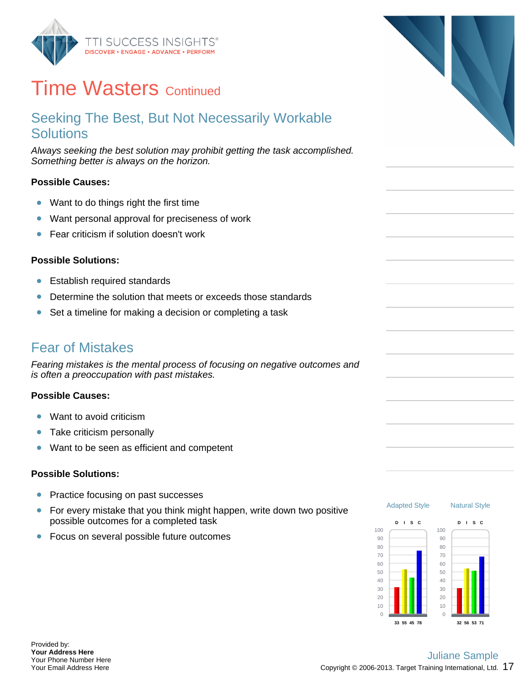

## **Time Wasters Continued**

### Seeking The Best, But Not Necessarily Workable **Solutions**

Always seeking the best solution may prohibit getting the task accomplished. Something better is always on the horizon.

### **Possible Causes:**

- Want to do things right the first time  $\bullet$
- Want personal approval for preciseness of work  $\bullet$
- $\bullet$ Fear criticism if solution doesn't work

### **Possible Solutions:**

- Establish required standards  $\bullet$
- Determine the solution that meets or exceeds those standards Ŏ
- Set a timeline for making a decision or completing a task  $\bullet$

### Fear of Mistakes

Fearing mistakes is the mental process of focusing on negative outcomes and is often a preoccupation with past mistakes.

### **Possible Causes:**

- Want to avoid criticism  $\bullet$
- $\bullet$ Take criticism personally
- Want to be seen as efficient and competent  $\bullet$

#### **Possible Solutions:**

- Practice focusing on past successes  $\bullet$
- For every mistake that you think might happen, write down two positive  $\bullet$ possible outcomes for a completed task
- Focus on several possible future outcomes  $\bullet$



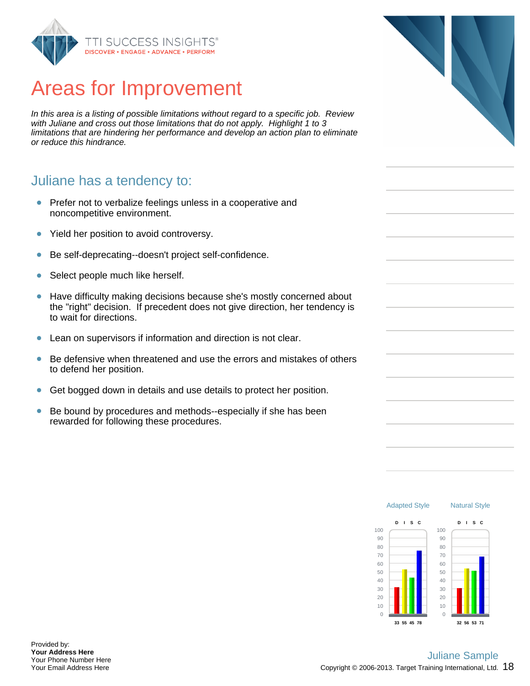

# Areas for Improvement

In this area is a listing of possible limitations without regard to a specific job. Review with Juliane and cross out those limitations that do not apply. Highlight 1 to 3 limitations that are hindering her performance and develop an action plan to eliminate or reduce this hindrance.

### Juliane has a tendency to:

- Prefer not to verbalize feelings unless in a cooperative and noncompetitive environment.
- Yield her position to avoid controversy.  $\bullet$
- Be self-deprecating--doesn't project self-confidence.  $\bullet$
- Select people much like herself.  $\bullet$
- Have difficulty making decisions because she's mostly concerned about  $\bullet$ the "right" decision. If precedent does not give direction, her tendency is to wait for directions.
- Lean on supervisors if information and direction is not clear.  $\bullet$
- $\bullet$ Be defensive when threatened and use the errors and mistakes of others to defend her position.
- Get bogged down in details and use details to protect her position.  $\bullet$
- $\bullet$ Be bound by procedures and methods--especially if she has been rewarded for following these procedures.



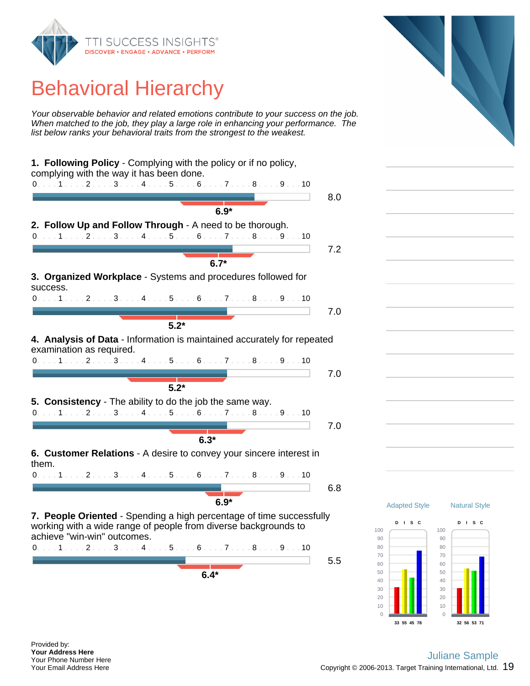

# Behavioral Hierarchy

Your observable behavior and related emotions contribute to your success on the job. When matched to the job, they play a large role in enhancing your performance. The list below ranks your behavioral traits from the strongest to the weakest.



Natural Style

**D I S C**

**32 56 53 71**

**33 55 45 78**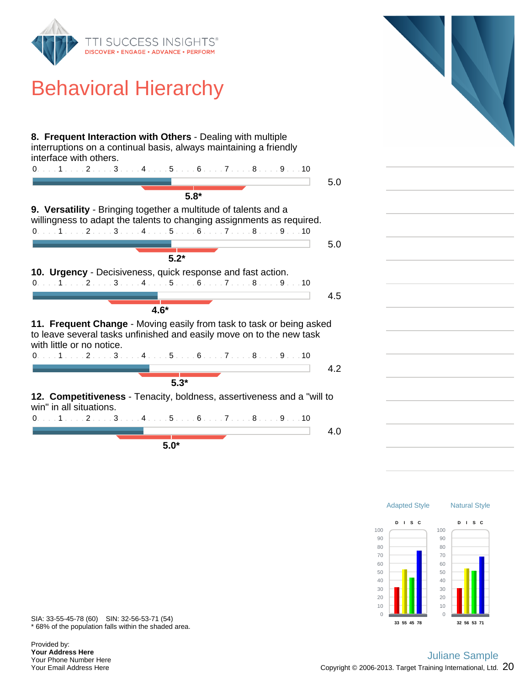

# Behavioral Hierarchy





\* 68% of the population falls within the shaded area. SIA: 33-55-45-78 (60) SIN: 32-56-53-71 (54)

Provided by: **Your Address Here** Your Phone Number Here Your Email Address Here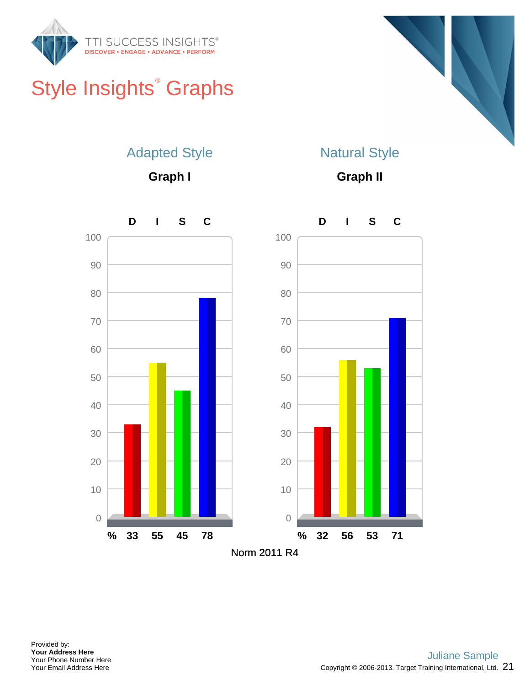

# Style Insights<sup>®</sup> Graphs



## Adapted Style

**Graph I**

## Natural Style

**Graph II**

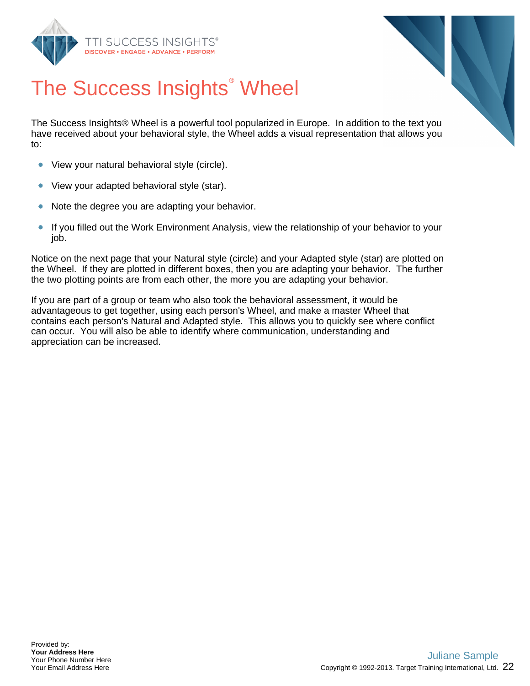



# The Success Insights<sup>®</sup> Wheel

The Success Insights® Wheel is a powerful tool popularized in Europe. In addition to the text you have received about your behavioral style, the Wheel adds a visual representation that allows you to:

- View your natural behavioral style (circle).  $\bullet$
- $\bullet$ View your adapted behavioral style (star).
- Note the degree you are adapting your behavior.  $\bullet$
- $\bullet$ If you filled out the Work Environment Analysis, view the relationship of your behavior to your job.

Notice on the next page that your Natural style (circle) and your Adapted style (star) are plotted on the Wheel. If they are plotted in different boxes, then you are adapting your behavior. The further the two plotting points are from each other, the more you are adapting your behavior.

If you are part of a group or team who also took the behavioral assessment, it would be advantageous to get together, using each person's Wheel, and make a master Wheel that contains each person's Natural and Adapted style. This allows you to quickly see where conflict can occur. You will also be able to identify where communication, understanding and appreciation can be increased.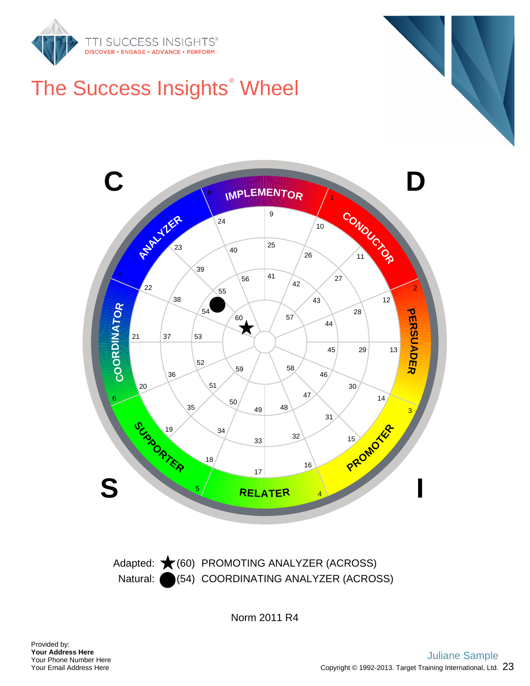

# The Success Insights<sup>®</sup> Wheel



Natural: (64) COORDINATING ANALYZER (ACROSS) Adapted: ★(60) PROMOTING ANALYZER (ACROSS)

Norm 2011 R4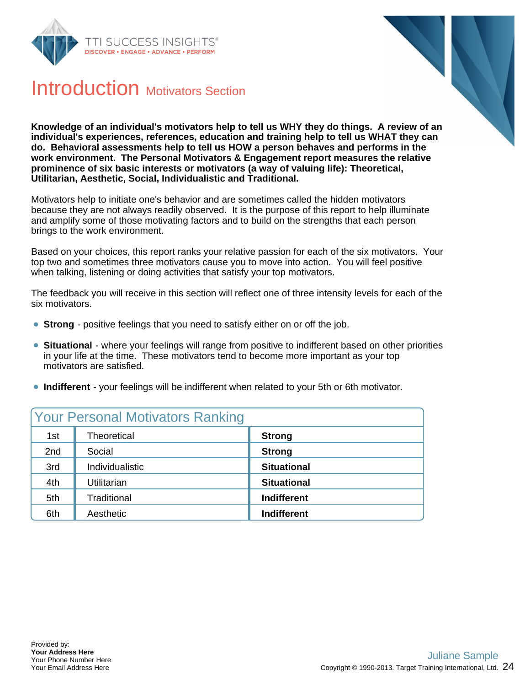



## Introduction Motivators Section

**Knowledge of an individual's motivators help to tell us WHY they do things. A review of an individual's experiences, references, education and training help to tell us WHAT they can do. Behavioral assessments help to tell us HOW a person behaves and performs in the work environment. The Personal Motivators & Engagement report measures the relative prominence of six basic interests or motivators (a way of valuing life): Theoretical, Utilitarian, Aesthetic, Social, Individualistic and Traditional.**

Motivators help to initiate one's behavior and are sometimes called the hidden motivators because they are not always readily observed. It is the purpose of this report to help illuminate and amplify some of those motivating factors and to build on the strengths that each person brings to the work environment.

Based on your choices, this report ranks your relative passion for each of the six motivators. Your top two and sometimes three motivators cause you to move into action. You will feel positive when talking, listening or doing activities that satisfy your top motivators.

The feedback you will receive in this section will reflect one of three intensity levels for each of the six motivators.

- **Strong** positive feelings that you need to satisfy either on or off the job.
- **Situational** where your feelings will range from positive to indifferent based on other priorities in your life at the time. These motivators tend to become more important as your top motivators are satisfied.
- **Indifferent** your feelings will be indifferent when related to your 5th or 6th motivator.

| <b>Your Personal Motivators Ranking</b> |                    |                    |
|-----------------------------------------|--------------------|--------------------|
| 1st                                     | <b>Theoretical</b> | <b>Strong</b>      |
| 2nd                                     | Social             | <b>Strong</b>      |
| 3rd                                     | Individualistic    | <b>Situational</b> |
| 4th                                     | Utilitarian        | <b>Situational</b> |
| 5th                                     | Traditional        | <b>Indifferent</b> |
| 6th                                     | Aesthetic          | <b>Indifferent</b> |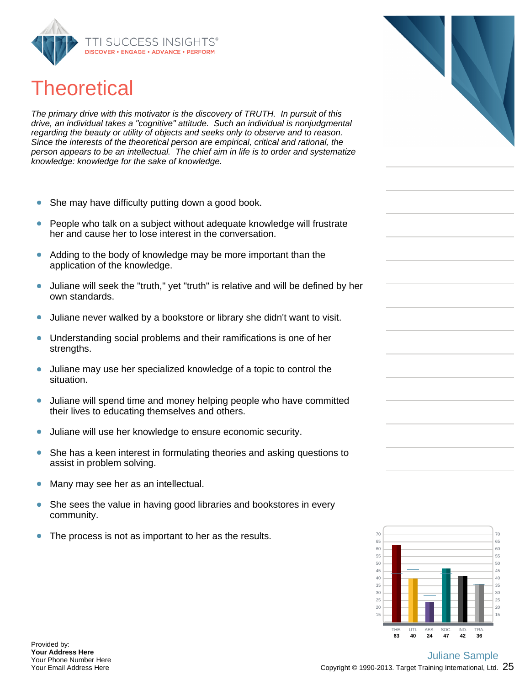

# **Theoretical**

The primary drive with this motivator is the discovery of TRUTH. In pursuit of this drive, an individual takes a "cognitive" attitude. Such an individual is nonjudgmental regarding the beauty or utility of objects and seeks only to observe and to reason. Since the interests of the theoretical person are empirical, critical and rational, the person appears to be an intellectual. The chief aim in life is to order and systematize knowledge: knowledge for the sake of knowledge.

- She may have difficulty putting down a good book.  $\bullet$
- People who talk on a subject without adequate knowledge will frustrate  $\bullet$ her and cause her to lose interest in the conversation.
- Adding to the body of knowledge may be more important than the  $\bullet$ application of the knowledge.
- Juliane will seek the "truth," yet "truth" is relative and will be defined by her  $\bullet$ own standards.
- Juliane never walked by a bookstore or library she didn't want to visit.  $\bullet$
- Understanding social problems and their ramifications is one of her  $\bullet$ strengths.
- Juliane may use her specialized knowledge of a topic to control the  $\bullet$ situation.
- Juliane will spend time and money helping people who have committed  $\bullet$ their lives to educating themselves and others.
- $\bullet$ Juliane will use her knowledge to ensure economic security.
- She has a keen interest in formulating theories and asking questions to  $\bullet$ assist in problem solving.
- $\bullet$ Many may see her as an intellectual.
- She sees the value in having good libraries and bookstores in every  $\bullet$ community.
- $\bullet$ The process is not as important to her as the results.

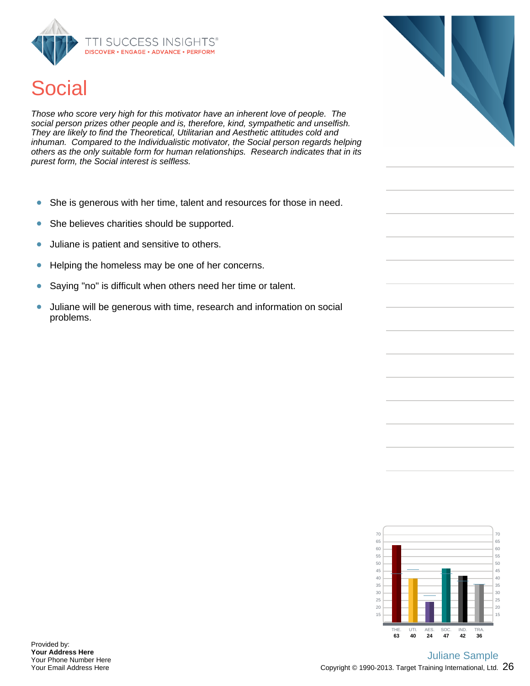

# **Social**

Those who score very high for this motivator have an inherent love of people. The social person prizes other people and is, therefore, kind, sympathetic and unselfish. They are likely to find the Theoretical, Utilitarian and Aesthetic attitudes cold and inhuman. Compared to the Individualistic motivator, the Social person regards helping others as the only suitable form for human relationships. Research indicates that in its purest form, the Social interest is selfless.

- She is generous with her time, talent and resources for those in need.  $\bullet$
- She believes charities should be supported.  $\bullet$
- Juliane is patient and sensitive to others.  $\bullet$
- $\bullet$ Helping the homeless may be one of her concerns.
- Saying "no" is difficult when others need her time or talent.  $\bullet$
- Juliane will be generous with time, research and information on social  $\bullet$ problems.

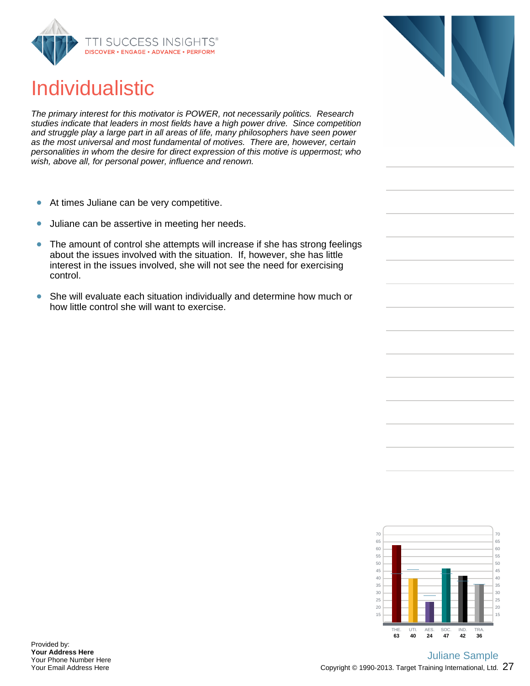

# Individualistic

The primary interest for this motivator is POWER, not necessarily politics. Research studies indicate that leaders in most fields have a high power drive. Since competition and struggle play a large part in all areas of life, many philosophers have seen power as the most universal and most fundamental of motives. There are, however, certain personalities in whom the desire for direct expression of this motive is uppermost; who wish, above all, for personal power, influence and renown.

- At times Juliane can be very competitive.  $\bullet$
- Juliane can be assertive in meeting her needs.  $\bullet$
- The amount of control she attempts will increase if she has strong feelings  $\bullet$ about the issues involved with the situation. If, however, she has little interest in the issues involved, she will not see the need for exercising control.
- She will evaluate each situation individually and determine how much or  $\bullet$ how little control she will want to exercise.



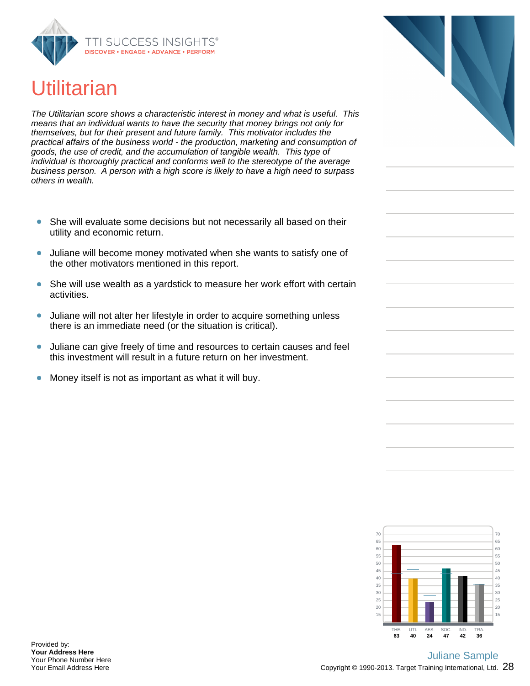

# **Utilitarian**

The Utilitarian score shows a characteristic interest in money and what is useful. This means that an individual wants to have the security that money brings not only for themselves, but for their present and future family. This motivator includes the practical affairs of the business world - the production, marketing and consumption of goods, the use of credit, and the accumulation of tangible wealth. This type of individual is thoroughly practical and conforms well to the stereotype of the average business person. A person with a high score is likely to have a high need to surpass others in wealth.

- She will evaluate some decisions but not necessarily all based on their  $\bullet$ utility and economic return.
- Juliane will become money motivated when she wants to satisfy one of  $\bullet$ the other motivators mentioned in this report.
- $\bullet$ She will use wealth as a yardstick to measure her work effort with certain activities.
- Juliane will not alter her lifestyle in order to acquire something unless  $\bullet$ there is an immediate need (or the situation is critical).
- Juliane can give freely of time and resources to certain causes and feel  $\bullet$ this investment will result in a future return on her investment.
- $\bullet$ Money itself is not as important as what it will buy.

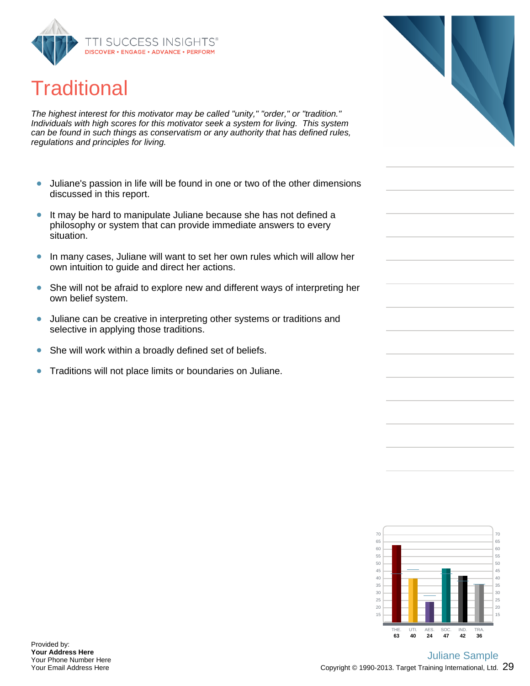

# **Traditional**

The highest interest for this motivator may be called "unity," "order," or "tradition." Individuals with high scores for this motivator seek a system for living. This system can be found in such things as conservatism or any authority that has defined rules, regulations and principles for living.

- Juliane's passion in life will be found in one or two of the other dimensions  $\bullet$ discussed in this report.
- $\bullet$ It may be hard to manipulate Juliane because she has not defined a philosophy or system that can provide immediate answers to every situation.
- In many cases, Juliane will want to set her own rules which will allow her  $\bullet$ own intuition to guide and direct her actions.
- She will not be afraid to explore new and different ways of interpreting her own belief system.
- Juliane can be creative in interpreting other systems or traditions and  $\bullet$ selective in applying those traditions.
- She will work within a broadly defined set of beliefs.  $\bullet$
- $\bullet$ Traditions will not place limits or boundaries on Juliane.



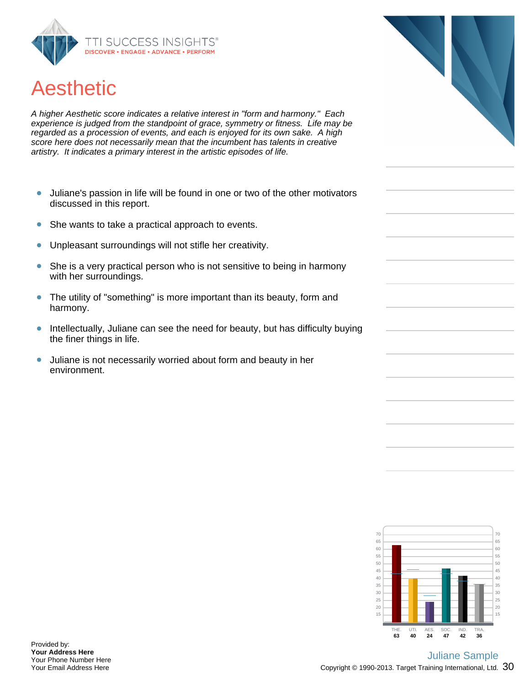

# Aesthetic

A higher Aesthetic score indicates a relative interest in "form and harmony." Each experience is judged from the standpoint of grace, symmetry or fitness. Life may be regarded as a procession of events, and each is enjoyed for its own sake. A high score here does not necessarily mean that the incumbent has talents in creative artistry. It indicates a primary interest in the artistic episodes of life.

- Juliane's passion in life will be found in one or two of the other motivators  $\bullet$ discussed in this report.
- $\bullet$ She wants to take a practical approach to events.
- Unpleasant surroundings will not stifle her creativity.  $\bullet$
- She is a very practical person who is not sensitive to being in harmony  $\bullet$ with her surroundings.
- The utility of "something" is more important than its beauty, form and  $\bullet$ harmony.
- Intellectually, Juliane can see the need for beauty, but has difficulty buying  $\bullet$ the finer things in life.
- $\bullet$ Juliane is not necessarily worried about form and beauty in her environment.



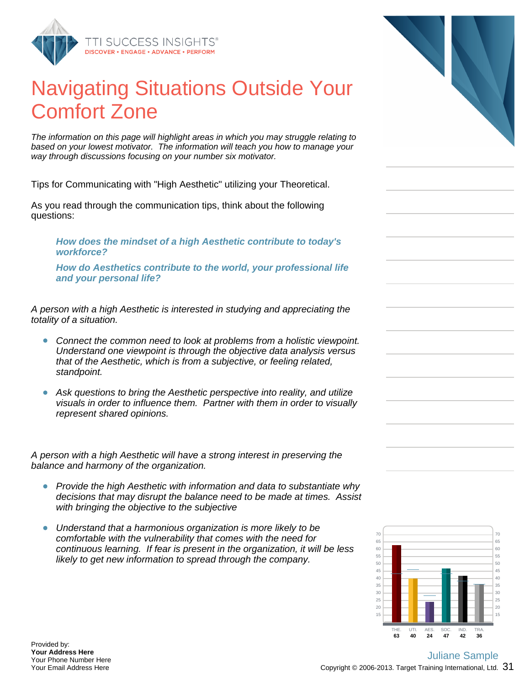

# Navigating Situations Outside Your Comfort Zone

The information on this page will highlight areas in which you may struggle relating to based on your lowest motivator. The information will teach you how to manage your way through discussions focusing on your number six motivator.

Tips for Communicating with "High Aesthetic" utilizing your Theoretical.

As you read through the communication tips, think about the following questions:

**How does the mindset of a high Aesthetic contribute to today's workforce?**

**How do Aesthetics contribute to the world, your professional life and your personal life?**

A person with a high Aesthetic is interested in studying and appreciating the totality of a situation.

- Connect the common need to look at problems from a holistic viewpoint. Understand one viewpoint is through the objective data analysis versus that of the Aesthetic, which is from a subjective, or feeling related, standpoint.
- Ask questions to bring the Aesthetic perspective into reality, and utilize visuals in order to influence them. Partner with them in order to visually represent shared opinions.

A person with a high Aesthetic will have a strong interest in preserving the balance and harmony of the organization.

- Provide the high Aesthetic with information and data to substantiate why decisions that may disrupt the balance need to be made at times. Assist with bringing the objective to the subjective
- Understand that a harmonious organization is more likely to be comfortable with the vulnerability that comes with the need for continuous learning. If fear is present in the organization, it will be less likely to get new information to spread through the company.



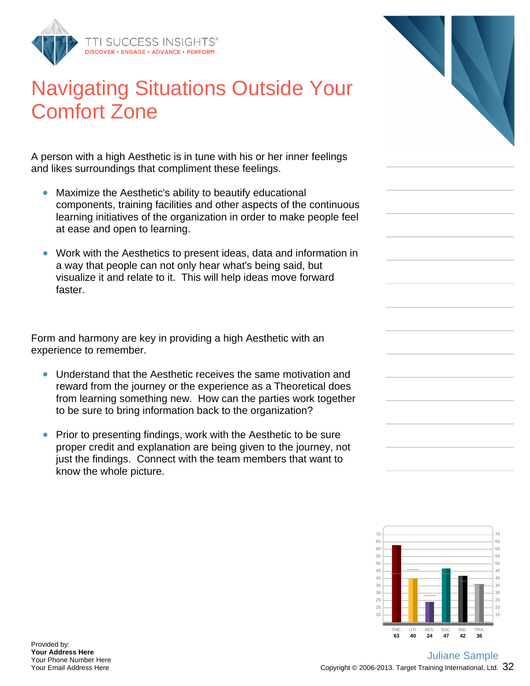

## Navigating Situations Outside Your Comfort Zone

A person with a high Aesthetic is in tune with his or her inner feelings and likes surroundings that compliment these feelings.

- Maximize the Aesthetic's ability to beautify educational  $\bullet$ components, training facilities and other aspects of the continuous learning initiatives of the organization in order to make people feel at ease and open to learning.
- Work with the Aesthetics to present ideas, data and information in a way that people can not only hear what's being said, but visualize it and relate to it. This will help ideas move forward faster.

Form and harmony are key in providing a high Aesthetic with an experience to remember.

- Understand that the Aesthetic receives the same motivation and reward from the journey or the experience as a Theoretical does from learning something new. How can the parties work together to be sure to bring information back to the organization?
- Prior to presenting findings, work with the Aesthetic to be sure proper credit and explanation are being given to the journey, not just the findings. Connect with the team members that want to know the whole picture.

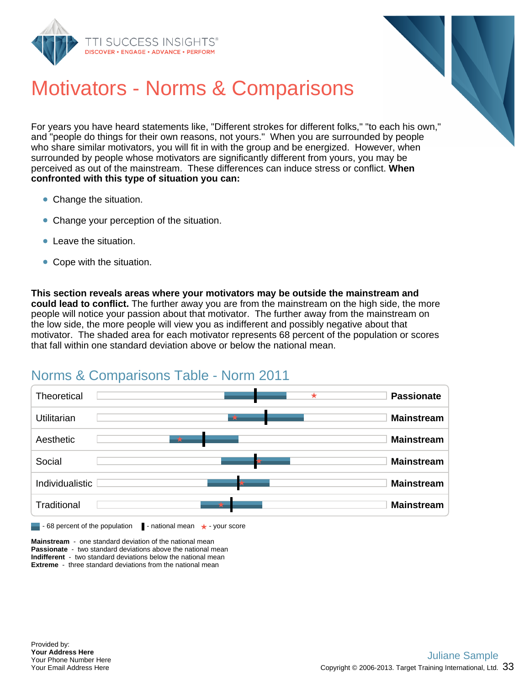



# Motivators - Norms & Comparisons

For years you have heard statements like, "Different strokes for different folks," "to each his own," and "people do things for their own reasons, not yours." When you are surrounded by people who share similar motivators, you will fit in with the group and be energized. However, when surrounded by people whose motivators are significantly different from yours, you may be perceived as out of the mainstream. These differences can induce stress or conflict. **When confronted with this type of situation you can:**

- Change the situation.
- Change your perception of the situation.
- **Company** Leave the situation.
- Cope with the situation.

**This section reveals areas where your motivators may be outside the mainstream and could lead to conflict.** The further away you are from the mainstream on the high side, the more people will notice your passion about that motivator. The further away from the mainstream on the low side, the more people will view you as indifferent and possibly negative about that motivator. The shaded area for each motivator represents 68 percent of the population or scores that fall within one standard deviation above or below the national mean.

## Norms & Comparisons Table - Norm 2011



**Mainstream** - one standard deviation of the national mean **Passionate** - two standard deviations above the national mean **Indifferent** - two standard deviations below the national mean **Extreme** - three standard deviations from the national mean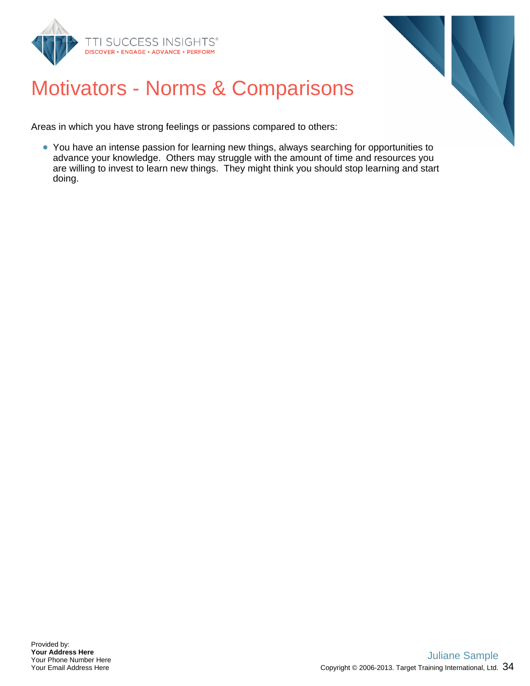



# Motivators - Norms & Comparisons

Areas in which you have strong feelings or passions compared to others:

You have an intense passion for learning new things, always searching for opportunities to advance your knowledge. Others may struggle with the amount of time and resources you are willing to invest to learn new things. They might think you should stop learning and start doing.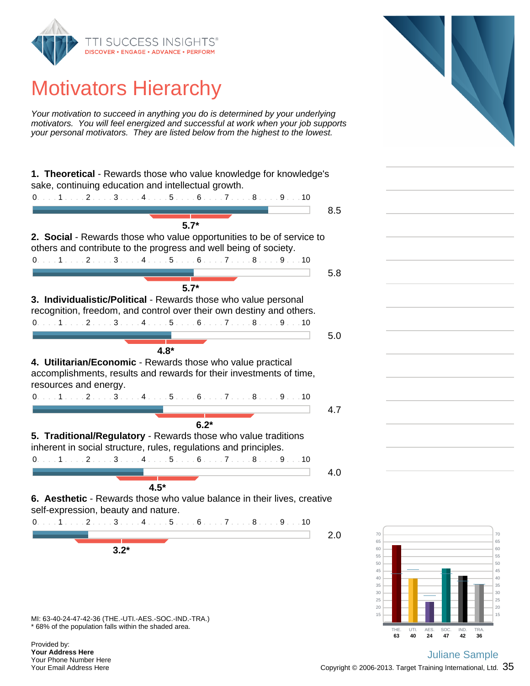

# Motivators Hierarchy

Your motivation to succeed in anything you do is determined by your underlying motivators. You will feel energized and successful at work when your job supports your personal motivators. They are listed below from the highest to the lowest.

|                                                                                                                                                                                                                                                                                                                                          | 8.5 |
|------------------------------------------------------------------------------------------------------------------------------------------------------------------------------------------------------------------------------------------------------------------------------------------------------------------------------------------|-----|
| $5.7*$                                                                                                                                                                                                                                                                                                                                   |     |
| 2. Social - Rewards those who value opportunities to be of service to                                                                                                                                                                                                                                                                    |     |
| others and contribute to the progress and well being of society.                                                                                                                                                                                                                                                                         |     |
| $0.1.1.1.1.1.2.1.1.3.1.1.4.1.1.5.1.1.6.1.1.7.1.1.8.1.1.9.1.10$                                                                                                                                                                                                                                                                           |     |
|                                                                                                                                                                                                                                                                                                                                          | 5.8 |
| $5.7*$                                                                                                                                                                                                                                                                                                                                   |     |
| 3. Individualistic/Political - Rewards those who value personal                                                                                                                                                                                                                                                                          |     |
| recognition, freedom, and control over their own destiny and others.                                                                                                                                                                                                                                                                     |     |
| 0. 1 2 3 4 5 6 7 8 9 10                                                                                                                                                                                                                                                                                                                  |     |
|                                                                                                                                                                                                                                                                                                                                          | 5.0 |
| $4.8*$                                                                                                                                                                                                                                                                                                                                   |     |
| 4. Utilitarian/Economic - Rewards those who value practical                                                                                                                                                                                                                                                                              |     |
| accomplishments, results and rewards for their investments of time,                                                                                                                                                                                                                                                                      |     |
| resources and energy.                                                                                                                                                                                                                                                                                                                    |     |
|                                                                                                                                                                                                                                                                                                                                          |     |
|                                                                                                                                                                                                                                                                                                                                          |     |
|                                                                                                                                                                                                                                                                                                                                          | 4.7 |
| $6.2*$                                                                                                                                                                                                                                                                                                                                   |     |
|                                                                                                                                                                                                                                                                                                                                          |     |
| $0. \ldots 1 \ldots 2 \ldots 3 \ldots 4 \ldots 5 \ldots 6 \ldots 7 \ldots 8 \ldots 9 \ldots 10$<br>5. Traditional/Regulatory - Rewards those who value traditions<br>inherent in social structure, rules, regulations and principles.<br>$0. \ldots 1 \ldots 2 \ldots 3 \ldots 4 \ldots 5 \ldots 6 \ldots 7 \ldots 8 \ldots 9 \ldots 10$ |     |
|                                                                                                                                                                                                                                                                                                                                          | 4.0 |
|                                                                                                                                                                                                                                                                                                                                          |     |
| $4.5*$                                                                                                                                                                                                                                                                                                                                   |     |
|                                                                                                                                                                                                                                                                                                                                          |     |
|                                                                                                                                                                                                                                                                                                                                          |     |
| 6. Aesthetic - Rewards those who value balance in their lives, creative<br>self-expression, beauty and nature.<br>$0. \ldots 1 \ldots 2 \ldots 3 \ldots 4 \ldots 5 \ldots 6 \ldots 7 \ldots 8 \ldots 9 \ldots 10$                                                                                                                        | 2.0 |
| $3.2*$                                                                                                                                                                                                                                                                                                                                   |     |





\* 68% of the population falls within the shaded area. MI: 63-40-24-47-42-36 (THE.-UTI.-AES.-SOC.-IND.-TRA.)

Provided by: **Your Address Here** Your Phone Number Here Your Email Address Here

### Copyright © 2006-2013. Target Training International, Ltd.  $35$ Juliane Sample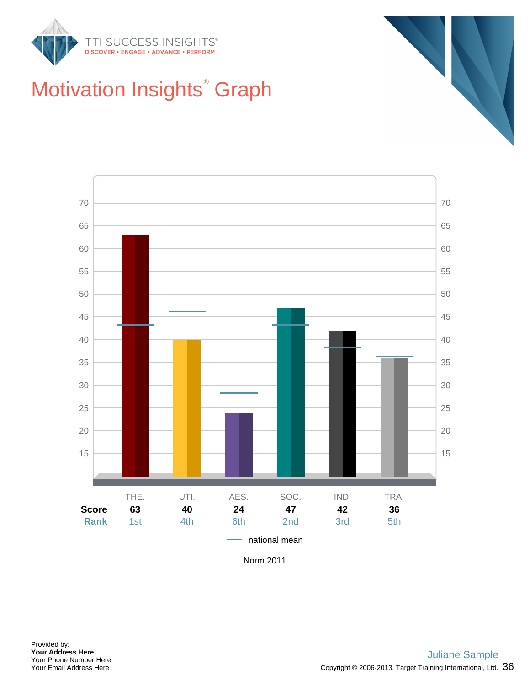







Norm 2011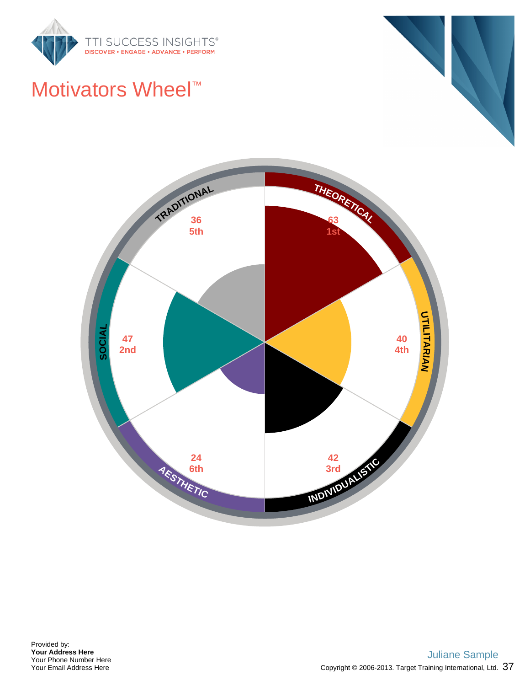

#### Motivators Wheel<sup>™</sup>

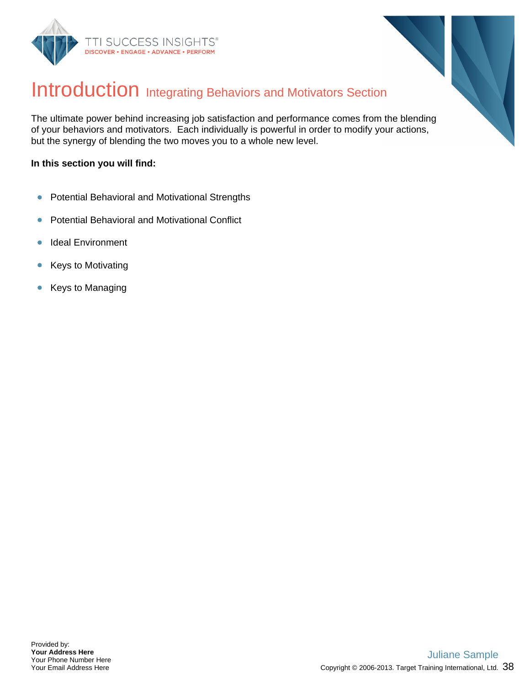



#### Introduction Integrating Behaviors and Motivators Section

The ultimate power behind increasing job satisfaction and performance comes from the blending of your behaviors and motivators. Each individually is powerful in order to modify your actions, but the synergy of blending the two moves you to a whole new level.

#### **In this section you will find:**

- Potential Behavioral and Motivational Strengths  $\bullet$
- Potential Behavioral and Motivational Conflict  $\bullet$
- Ideal Environment  $\bullet$
- $\bullet$ Keys to Motivating
- Keys to Managing  $\bullet$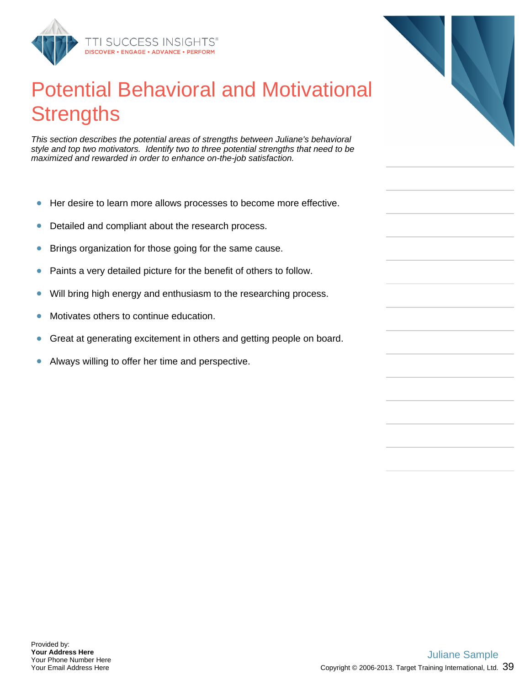

### Potential Behavioral and Motivational **Strengths**

This section describes the potential areas of strengths between Juliane's behavioral style and top two motivators. Identify two to three potential strengths that need to be maximized and rewarded in order to enhance on-the-job satisfaction.

- $\bullet$ Her desire to learn more allows processes to become more effective.
- $\bullet$ Detailed and compliant about the research process.
- Brings organization for those going for the same cause.  $\bullet$
- Paints a very detailed picture for the benefit of others to follow.  $\bullet$
- Will bring high energy and enthusiasm to the researching process.  $\bullet$
- Motivates others to continue education.  $\bullet$
- Great at generating excitement in others and getting people on board.  $\bullet$
- Always willing to offer her time and perspective.  $\bullet$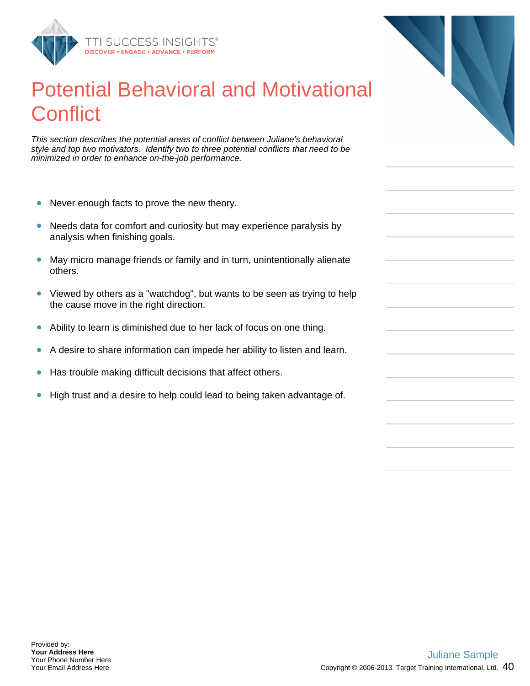

#### Potential Behavioral and Motivational **Conflict**

This section describes the potential areas of conflict between Juliane's behavioral style and top two motivators. Identify two to three potential conflicts that need to be minimized in order to enhance on-the-job performance.

- $\bullet$ Never enough facts to prove the new theory.
- $\bullet$ Needs data for comfort and curiosity but may experience paralysis by analysis when finishing goals.
- May micro manage friends or family and in turn, unintentionally alienate others.
- Viewed by others as a "watchdog", but wants to be seen as trying to help  $\bullet$ the cause move in the right direction.
- $\bullet$ Ability to learn is diminished due to her lack of focus on one thing.
- A desire to share information can impede her ability to listen and learn.  $\bullet$
- Has trouble making difficult decisions that affect others.  $\bullet$
- High trust and a desire to help could lead to being taken advantage of.  $\bullet$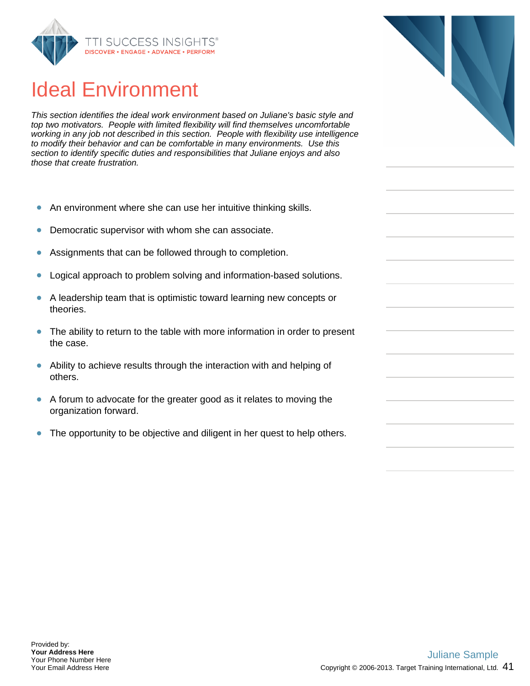

#### Ideal Environment

This section identifies the ideal work environment based on Juliane's basic style and top two motivators. People with limited flexibility will find themselves uncomfortable working in any job not described in this section. People with flexibility use intelligence to modify their behavior and can be comfortable in many environments. Use this section to identify specific duties and responsibilities that Juliane enjoys and also those that create frustration.

- $\bullet$ An environment where she can use her intuitive thinking skills.
- Democratic supervisor with whom she can associate.  $\bullet$
- Assignments that can be followed through to completion.  $\bullet$
- Logical approach to problem solving and information-based solutions.  $\bullet$
- $\bullet$ A leadership team that is optimistic toward learning new concepts or theories.
- The ability to return to the table with more information in order to present  $\bullet$ the case.
- $\bullet$ Ability to achieve results through the interaction with and helping of others.
- A forum to advocate for the greater good as it relates to moving the  $\bullet$ organization forward.
- The opportunity to be objective and diligent in her quest to help others.  $\bullet$



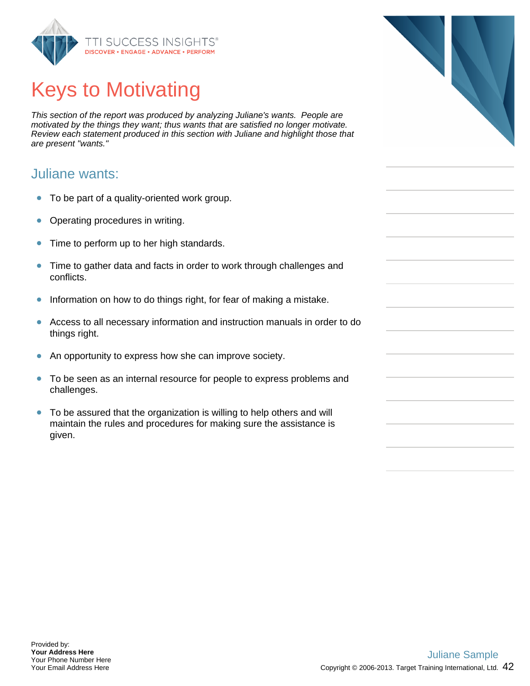

# Keys to Motivating

This section of the report was produced by analyzing Juliane's wants. People are motivated by the things they want; thus wants that are satisfied no longer motivate. Review each statement produced in this section with Juliane and highlight those that are present "wants."

#### Juliane wants:

- $\bullet$ To be part of a quality-oriented work group.
- $\bullet$ Operating procedures in writing.
- Time to perform up to her high standards.  $\bullet$
- $\bullet$ Time to gather data and facts in order to work through challenges and conflicts.
- Information on how to do things right, for fear of making a mistake.  $\bullet$
- Access to all necessary information and instruction manuals in order to do  $\bullet$ things right.
- $\bullet$ An opportunity to express how she can improve society.
- To be seen as an internal resource for people to express problems and challenges.
- $\bullet$ To be assured that the organization is willing to help others and will maintain the rules and procedures for making sure the assistance is given.

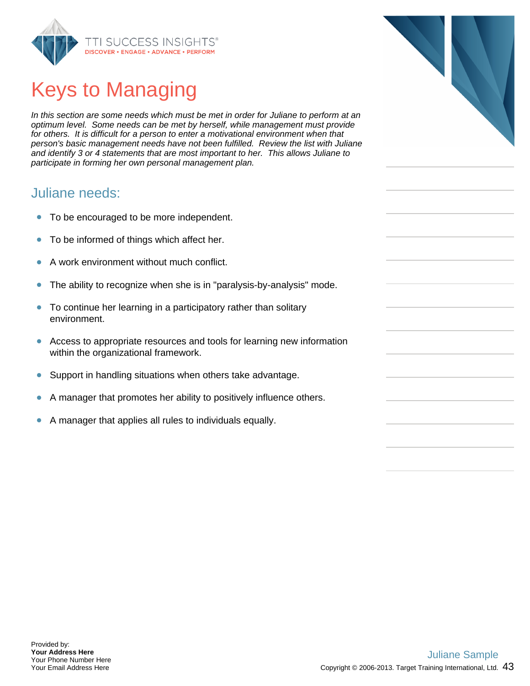

# Keys to Managing

In this section are some needs which must be met in order for Juliane to perform at an optimum level. Some needs can be met by herself, while management must provide for others. It is difficult for a person to enter a motivational environment when that person's basic management needs have not been fulfilled. Review the list with Juliane and identify 3 or 4 statements that are most important to her. This allows Juliane to participate in forming her own personal management plan.

#### Juliane needs:

- To be encouraged to be more independent.  $\bullet$
- To be informed of things which affect her.  $\bullet$
- A work environment without much conflict.  $\bullet$
- $\bullet$ The ability to recognize when she is in "paralysis-by-analysis" mode.
- $\bullet$ To continue her learning in a participatory rather than solitary environment.
- $\bullet$ Access to appropriate resources and tools for learning new information within the organizational framework.
- $\bullet$ Support in handling situations when others take advantage.
- A manager that promotes her ability to positively influence others.
- A manager that applies all rules to individuals equally.  $\bullet$

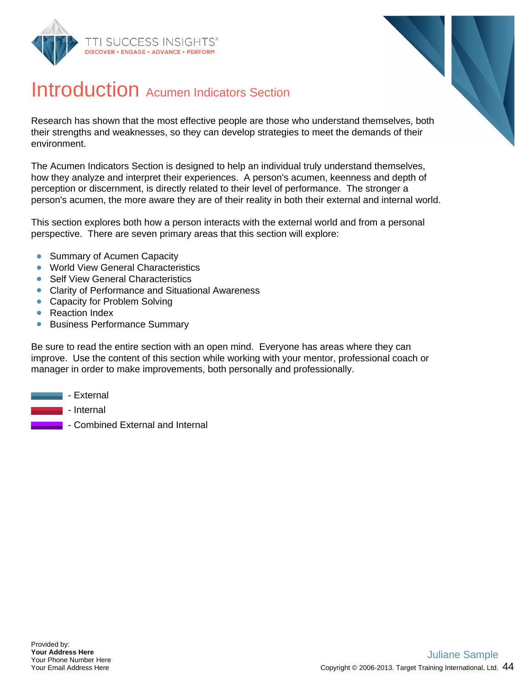



#### Introduction Acumen Indicators Section

Research has shown that the most effective people are those who understand themselves, both their strengths and weaknesses, so they can develop strategies to meet the demands of their environment.

The Acumen Indicators Section is designed to help an individual truly understand themselves, how they analyze and interpret their experiences. A person's acumen, keenness and depth of perception or discernment, is directly related to their level of performance. The stronger a person's acumen, the more aware they are of their reality in both their external and internal world.

This section explores both how a person interacts with the external world and from a personal perspective. There are seven primary areas that this section will explore:

- Summary of Acumen Capacity  $\bullet$
- **World View General Characteristics**
- Self View General Characteristics
- Clarity of Performance and Situational Awareness
- Capacity for Problem Solving
- Reaction Index
- **Business Performance Summary**

Be sure to read the entire section with an open mind. Everyone has areas where they can improve. Use the content of this section while working with your mentor, professional coach or manager in order to make improvements, both personally and professionally.

- $\blacksquare$  External
	- Internal
		- Combined External and Internal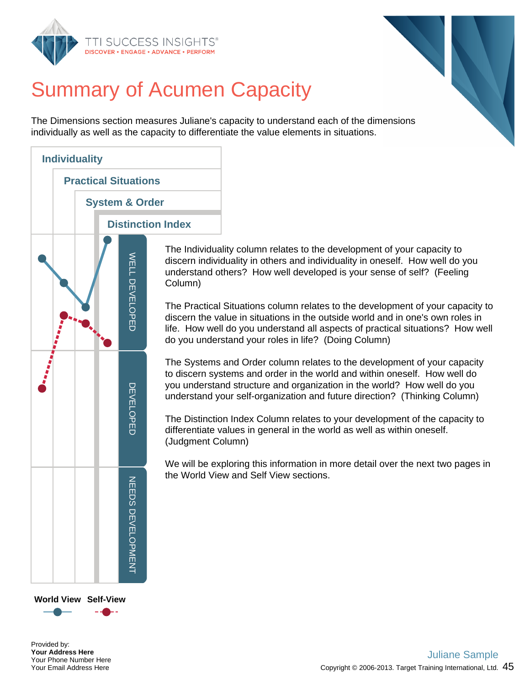



# Summary of Acumen Capacity

The Dimensions section measures Juliane's capacity to understand each of the dimensions individually as well as the capacity to differentiate the value elements in situations.



The Individuality column relates to the development of your capacity to discern individuality in others and individuality in oneself. How well do you understand others? How well developed is your sense of self? (Feeling Column)

The Practical Situations column relates to the development of your capacity to discern the value in situations in the outside world and in one's own roles in life. How well do you understand all aspects of practical situations? How well do you understand your roles in life? (Doing Column)

The Systems and Order column relates to the development of your capacity to discern systems and order in the world and within oneself. How well do you understand structure and organization in the world? How well do you understand your self-organization and future direction? (Thinking Column)

The Distinction Index Column relates to your development of the capacity to differentiate values in general in the world as well as within oneself. (Judgment Column)

We will be exploring this information in more detail over the next two pages in the World View and Self View sections.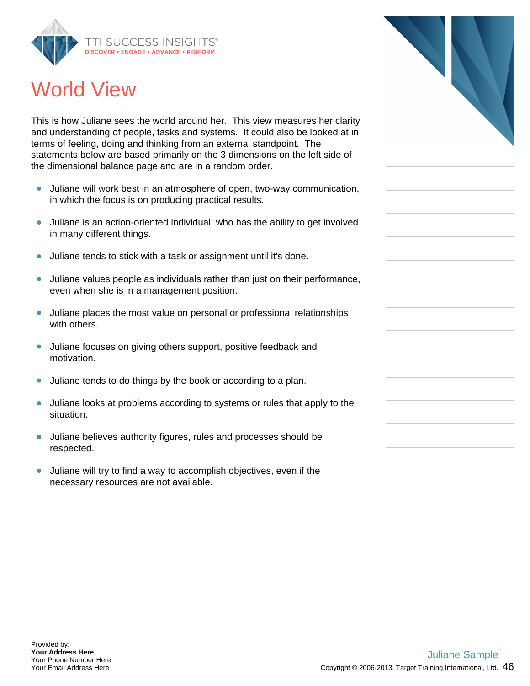

### World View

This is how Juliane sees the world around her. This view measures her clarity and understanding of people, tasks and systems. It could also be looked at in terms of feeling, doing and thinking from an external standpoint. The statements below are based primarily on the 3 dimensions on the left side of the dimensional balance page and are in a random order.

- Juliane will work best in an atmosphere of open, two-way communication,  $\bullet$ in which the focus is on producing practical results.
- Juliane is an action-oriented individual, who has the ability to get involved in many different things.
- Juliane tends to stick with a task or assignment until it's done.  $\bullet$
- Juliane values people as individuals rather than just on their performance,  $\bullet$ even when she is in a management position.
- Juliane places the most value on personal or professional relationships with others.
- Juliane focuses on giving others support, positive feedback and motivation.
- $\bullet$ Juliane tends to do things by the book or according to a plan.
- Juliane looks at problems according to systems or rules that apply to the  $\bullet$ situation.
- $\bullet$ Juliane believes authority figures, rules and processes should be respected.
- Juliane will try to find a way to accomplish objectives, even if the  $\bullet$ necessary resources are not available.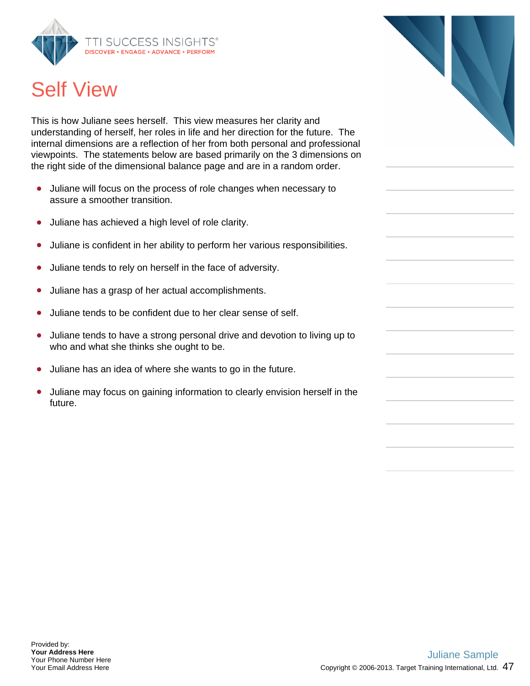

## Self View

This is how Juliane sees herself. This view measures her clarity and understanding of herself, her roles in life and her direction for the future. The internal dimensions are a reflection of her from both personal and professional viewpoints. The statements below are based primarily on the 3 dimensions on the right side of the dimensional balance page and are in a random order.

- Juliane will focus on the process of role changes when necessary to  $\bullet$ assure a smoother transition.
- Juliane has achieved a high level of role clarity.  $\bullet$
- Juliane is confident in her ability to perform her various responsibilities.  $\bullet$
- Juliane tends to rely on herself in the face of adversity.
- Juliane has a grasp of her actual accomplishments.  $\bullet$
- Juliane tends to be confident due to her clear sense of self.  $\bullet$
- Juliane tends to have a strong personal drive and devotion to living up to  $\bullet$ who and what she thinks she ought to be.
- Juliane has an idea of where she wants to go in the future.  $\bullet$
- Juliane may focus on gaining information to clearly envision herself in the future.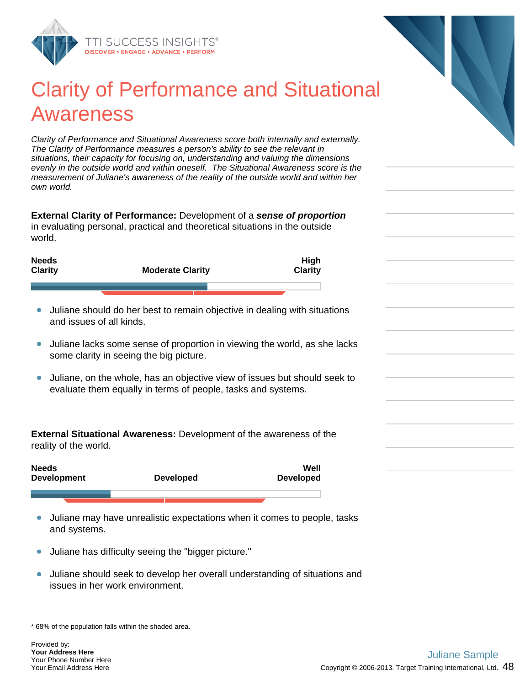

#### Clarity of Performance and Situational Awareness

Clarity of Performance and Situational Awareness score both internally and externally. The Clarity of Performance measures a person's ability to see the relevant in situations, their capacity for focusing on, understanding and valuing the dimensions evenly in the outside world and within oneself. The Situational Awareness score is the measurement of Juliane's awareness of the reality of the outside world and within her own world.

**External Clarity of Performance:** Development of a **sense of proportion** in evaluating personal, practical and theoretical situations in the outside world.

| <b>Needs</b><br><b>Clarity</b> | <b>Moderate Clarity</b> | <b>High</b><br>Clarity |
|--------------------------------|-------------------------|------------------------|
|                                |                         |                        |

- Juliane should do her best to remain objective in dealing with situations and issues of all kinds.
- Juliane lacks some sense of proportion in viewing the world, as she lacks  $\bullet$ some clarity in seeing the big picture.
- Juliane, on the whole, has an objective view of issues but should seek to  $\bullet$ evaluate them equally in terms of people, tasks and systems.

**External Situational Awareness:** Development of the awareness of the reality of the world.

| <b>Developed</b> | Well<br><b>Developed</b> |
|------------------|--------------------------|
|                  |                          |
|                  |                          |

- Juliane may have unrealistic expectations when it comes to people, tasks  $\bullet$ and systems.
- Juliane has difficulty seeing the "bigger picture."  $\bullet$
- Juliane should seek to develop her overall understanding of situations and  $\bullet$ issues in her work environment.

\* 68% of the population falls within the shaded area.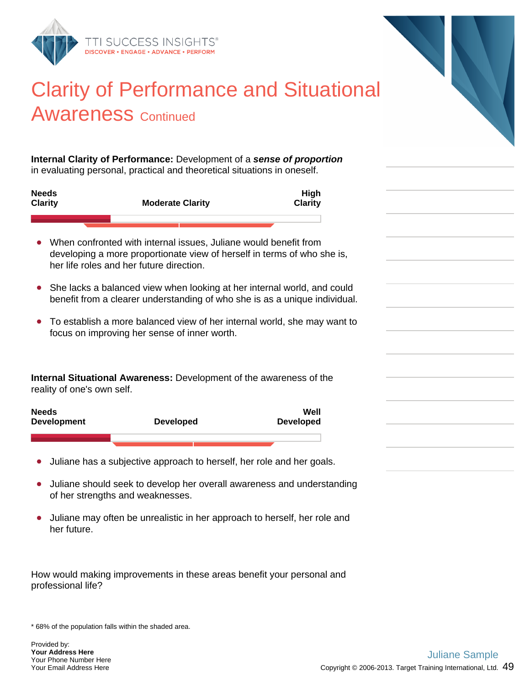

#### Clarity of Performance and Situational Awareness Continued

**Internal Clarity of Performance:** Development of a **sense of proportion** in evaluating personal, practical and theoretical situations in oneself.

| <b>Needs</b><br><b>Clarity</b> | <b>Moderate Clarity</b> | <b>High</b><br><b>Clarity</b> |
|--------------------------------|-------------------------|-------------------------------|
|                                |                         |                               |

- When confronted with internal issues, Juliane would benefit from developing a more proportionate view of herself in terms of who she is, her life roles and her future direction.
- She lacks a balanced view when looking at her internal world, and could benefit from a clearer understanding of who she is as a unique individual.
- To establish a more balanced view of her internal world, she may want to focus on improving her sense of inner worth.

**Internal Situational Awareness:** Development of the awareness of the reality of one's own self.



- Juliane has a subjective approach to herself, her role and her goals.
- Juliane should seek to develop her overall awareness and understanding of her strengths and weaknesses.
- Juliane may often be unrealistic in her approach to herself, her role and her future.

How would making improvements in these areas benefit your personal and professional life?

\* 68% of the population falls within the shaded area.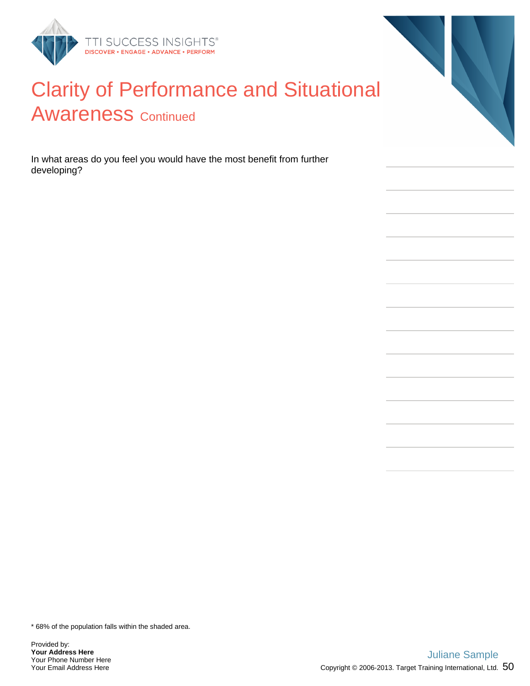

#### Clarity of Performance and Situational **Awareness Continued**

In what areas do you feel you would have the most benefit from further developing?

\* 68% of the population falls within the shaded area.

Provided by: **Your Address Here** Your Phone Number Here Your Email Address Here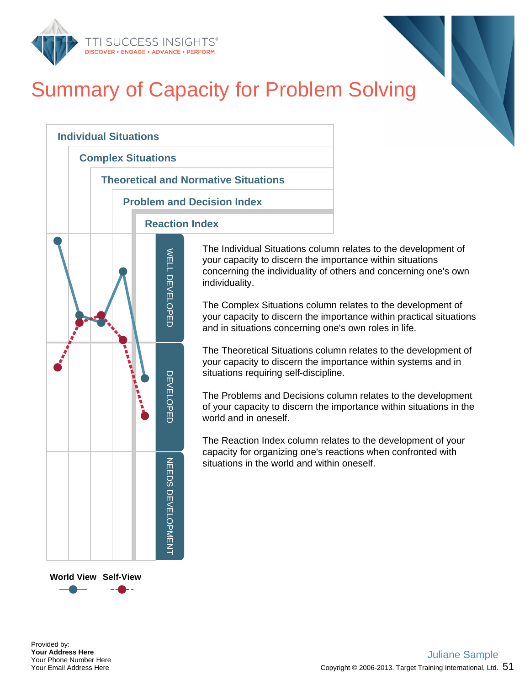

# Summary of Capacity for Problem Solving



The Individual Situations column relates to the development of your capacity to discern the importance within situations concerning the individuality of others and concerning one's own

The Complex Situations column relates to the development of your capacity to discern the importance within practical situations and in situations concerning one's own roles in life.

The Theoretical Situations column relates to the development of your capacity to discern the importance within systems and in situations requiring self-discipline.

The Problems and Decisions column relates to the development of your capacity to discern the importance within situations in the

The Reaction Index column relates to the development of your capacity for organizing one's reactions when confronted with situations in the world and within oneself.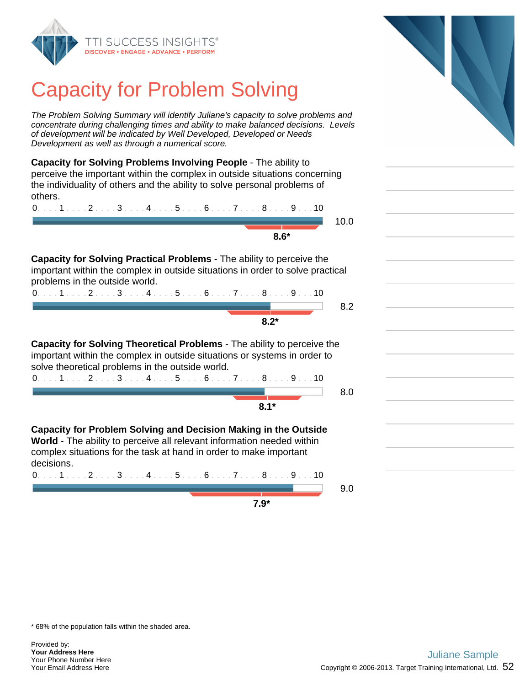

### Capacity for Problem Solving

The Problem Solving Summary will identify Juliane's capacity to solve problems and concentrate during challenging times and ability to make balanced decisions. Levels of development will be indicated by Well Developed, Developed or Needs Development as well as through a numerical score.

**Capacity for Solving Problems Involving People** - The ability to perceive the important within the complex in outside situations concerning the individuality of others and the ability to solve personal problems of others.

0. . . . 1 . . . . 2 . . . . 3 . . . . 4 . . . . 5 . . . . 6 . . . . 7 . . . . 8 . . . . 9 . . . 10 10.0 **8.6\***

**Capacity for Solving Practical Problems** - The ability to perceive the important within the complex in outside situations in order to solve practical problems in the outside world.

| ∗ה ה |  |
|------|--|

**Capacity for Solving Theoretical Problems** - The ability to perceive the important within the complex in outside situations or systems in order to solve theoretical problems in the outside world. 0. . . . 1 . . . . 2 . . . . 3 . . . . 4 . . . . 5 . . . . 6 . . . . 7 . . . . 8 . . . . 9 . . . 10

**Capacity for Problem Solving and Decision Making in the Outside World** - The ability to perceive all relevant information needed within complex situations for the task at hand in order to make important decisions.

**7.9\***

0. . . . 1 . . . . 2 . . . . 3 . . . . 4 . . . . 5 . . . . 6 . . . . 7 . . . . 8 . . . . 9 . . . 10 **8.2\*** 8.0 **8.1\*** 0. . . . 1 . . . . 2 . . . . 3 . . . . 4 . . . . 5 . . . . 6 . . . . 7 . . . . 8 . . . . 9 . . . 10 9.0

\* 68% of the population falls within the shaded area.

Provided by: **Your Address Here** Your Phone Number Here Your Email Address Here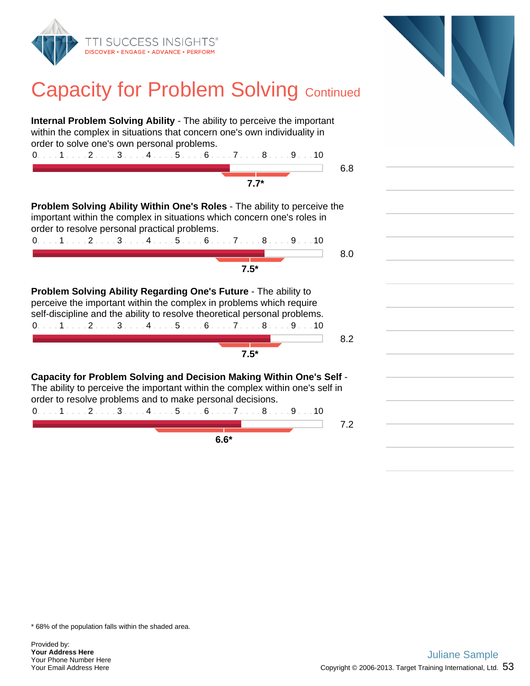

### **Capacity for Problem Solving Continued**

| <b>Internal Problem Solving Ability - The ability to perceive the important</b><br>within the complex in situations that concern one's own individuality in<br>order to solve one's own personal problems.<br>$0.1.1.1.1.2.1.13.1.14.1.15.1.16.1.17.1.18.1.19.1.10$<br>$7.7*$          | 6.8 |
|----------------------------------------------------------------------------------------------------------------------------------------------------------------------------------------------------------------------------------------------------------------------------------------|-----|
| <b>Problem Solving Ability Within One's Roles - The ability to perceive the</b><br>important within the complex in situations which concern one's roles in<br>order to resolve personal practical problems.<br>$0.11123456789910$<br>$7.5*$                                            | 8.0 |
| Problem Solving Ability Regarding One's Future - The ability to<br>perceive the important within the complex in problems which require<br>self-discipline and the ability to resolve theoretical personal problems.<br>$0.1.1.1.1.2.1.13.1.14.1.15.1.16.1.17.1.18.1.19.1.10$<br>$7.5*$ | 8.2 |
| <b>Capacity for Problem Solving and Decision Making Within One's Self -</b><br>The ability to perceive the important within the complex within one's self in<br>order to resolve problems and to make personal decisions.<br>0. 1 2 3 4 5 6 7 8 9 10<br>$6.6*$                         | 7.2 |

\* 68% of the population falls within the shaded area.

Provided by: **Your Address Here** Your Phone Number Here Your Email Address Here

 $\overline{a}$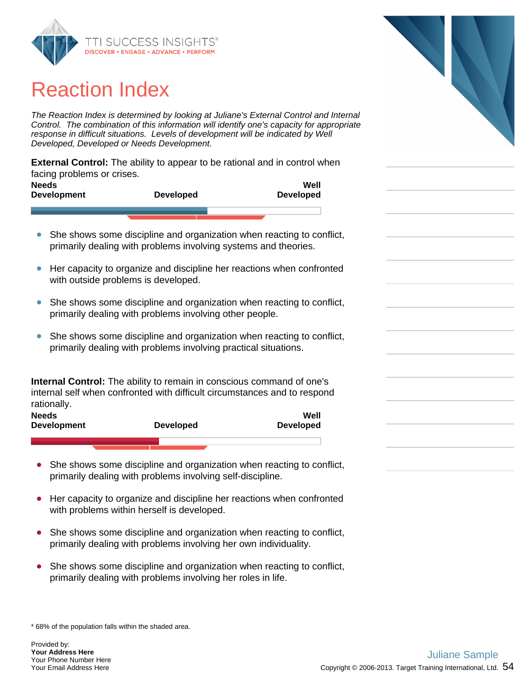

### Reaction Index

The Reaction Index is determined by looking at Juliane's External Control and Internal Control. The combination of this information will identify one's capacity for appropriate response in difficult situations. Levels of development will be indicated by Well Developed, Developed or Needs Development.

**External Control:** The ability to appear to be rational and in control when facing problems or crises.

| <b>Needs</b><br><b>Development</b> | <b>Developed</b> | Well<br><b>Developed</b> |
|------------------------------------|------------------|--------------------------|
|                                    |                  |                          |

- She shows some discipline and organization when reacting to conflict,  $\bullet$ primarily dealing with problems involving systems and theories.
- Her capacity to organize and discipline her reactions when confronted  $\bullet$ with outside problems is developed.
- She shows some discipline and organization when reacting to conflict,  $\bullet$ primarily dealing with problems involving other people.
- $\bullet$ She shows some discipline and organization when reacting to conflict, primarily dealing with problems involving practical situations.

**Internal Control:** The ability to remain in conscious command of one's internal self when confronted with difficult circumstances and to respond rationally.

| <b>Needs</b><br><b>Development</b> | <b>Developed</b> | Well<br><b>Developed</b> |
|------------------------------------|------------------|--------------------------|
|                                    |                  |                          |

- She shows some discipline and organization when reacting to conflict,  $\bullet$ primarily dealing with problems involving self-discipline.
- $\bullet$ Her capacity to organize and discipline her reactions when confronted with problems within herself is developed.
- She shows some discipline and organization when reacting to conflict, primarily dealing with problems involving her own individuality.
- She shows some discipline and organization when reacting to conflict,  $\bullet$ primarily dealing with problems involving her roles in life.

\* 68% of the population falls within the shaded area.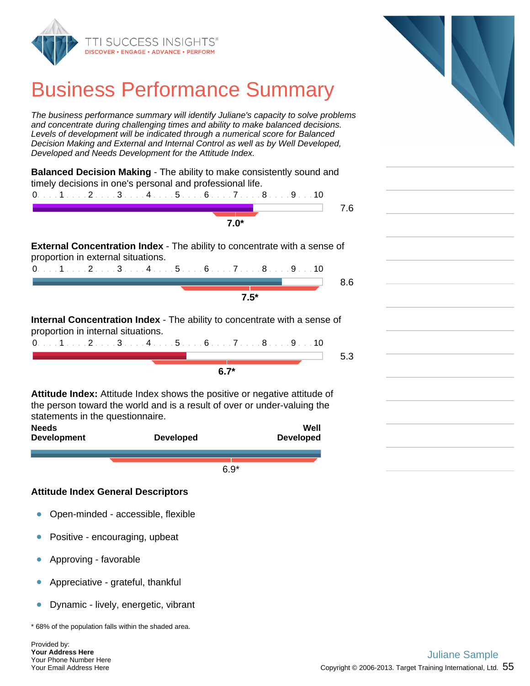

#### Business Performance Summary

The business performance summary will identify Juliane's capacity to solve problems and concentrate during challenging times and ability to make balanced decisions. Levels of development will be indicated through a numerical score for Balanced Decision Making and External and Internal Control as well as by Well Developed, Developed and Needs Development for the Attitude Index.

| Balanced Decision Making - The ability to make consistently sound and<br>timely decisions in one's personal and professional life. |     |
|------------------------------------------------------------------------------------------------------------------------------------|-----|
| $0. \ldots 1 \ldots 2 \ldots 3 \ldots 4 \ldots 5 \ldots 6 \ldots 7 \ldots 8 \ldots 9 \ldots 10$                                    |     |
|                                                                                                                                    | 7.6 |
| $7.0*$                                                                                                                             |     |
| <b>External Concentration Index</b> - The ability to concentrate with a sense of<br>proportion in external situations.             |     |
| $0.1.1.1.1.2.1.13.1.14.1.15.1.16.1.17.1.18.1.19.1.10$                                                                              |     |
|                                                                                                                                    | 8.6 |
| $7.5*$                                                                                                                             |     |
| <b>Internal Concentration Index</b> - The ability to concentrate with a sense of<br>proportion in internal situations.             |     |
| $0.111123456789910$                                                                                                                |     |
|                                                                                                                                    | 5.3 |
| $6.7*$                                                                                                                             |     |
|                                                                                                                                    |     |
| <b>Attitude Index:</b> Attitude Index shows the positive or negative attitude of                                                   |     |
| the person toward the world and is a result of over or under-valuing the<br>statements in the questionnaire.                       |     |
| <b>Needs</b><br>Well                                                                                                               |     |

| NGCAS<br><b>Development</b> | <b>Developed</b> | TUGIL<br><b>Developed</b> |
|-----------------------------|------------------|---------------------------|
|                             |                  |                           |
|                             | $6.9*$           |                           |

#### **Attitude Index General Descriptors**

- Open-minded accessible, flexible  $\bullet$
- Positive encouraging, upbeat  $\bullet$
- Approving favorable  $\bullet$
- Appreciative grateful, thankful  $\bullet$
- $\bullet$ Dynamic - lively, energetic, vibrant

\* 68% of the population falls within the shaded area.

Provided by: **Your Address Here** Your Phone Number Here Your Email Address Here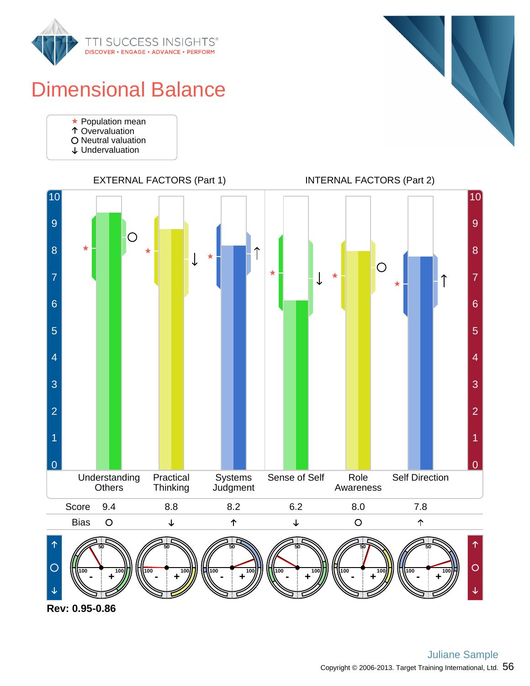

### Dimensional Balance

- Population mean
- **Overvaluation**
- O Neutral valuation
- Undervaluation





**Rev: 0.95-0.86**



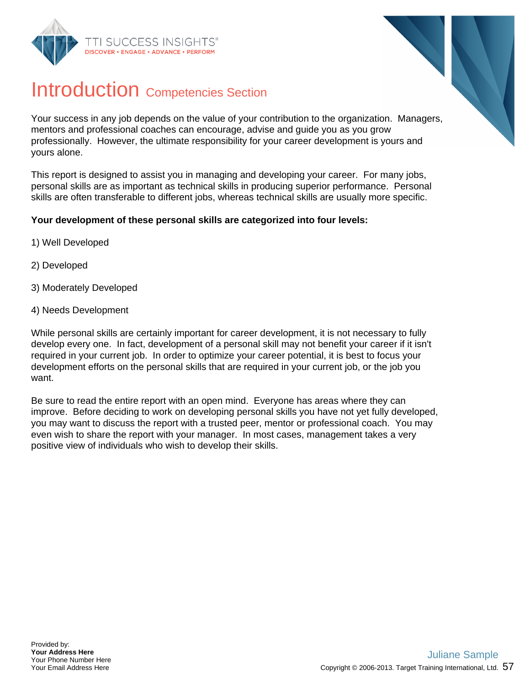



#### Introduction Competencies Section

Your success in any job depends on the value of your contribution to the organization. Managers, mentors and professional coaches can encourage, advise and guide you as you grow professionally. However, the ultimate responsibility for your career development is yours and yours alone.

This report is designed to assist you in managing and developing your career. For many jobs, personal skills are as important as technical skills in producing superior performance. Personal skills are often transferable to different jobs, whereas technical skills are usually more specific.

#### **Your development of these personal skills are categorized into four levels:**

- 1) Well Developed
- 2) Developed
- 3) Moderately Developed
- 4) Needs Development

While personal skills are certainly important for career development, it is not necessary to fully develop every one. In fact, development of a personal skill may not benefit your career if it isn't required in your current job. In order to optimize your career potential, it is best to focus your development efforts on the personal skills that are required in your current job, or the job you want.

Be sure to read the entire report with an open mind. Everyone has areas where they can improve. Before deciding to work on developing personal skills you have not yet fully developed, you may want to discuss the report with a trusted peer, mentor or professional coach. You may even wish to share the report with your manager. In most cases, management takes a very positive view of individuals who wish to develop their skills.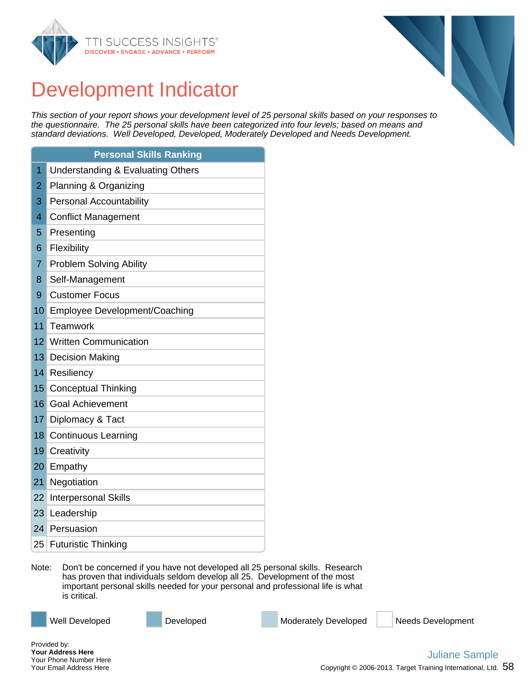



#### Development Indicator

This section of your report shows your development level of 25 personal skills based on your responses to the questionnaire. The 25 personal skills have been categorized into four levels; based on means and standard deviations. Well Developed, Developed, Moderately Developed and Needs Development.

|                 | <b>Personal Skills Ranking</b>               |
|-----------------|----------------------------------------------|
| 1               | <b>Understanding &amp; Evaluating Others</b> |
| 2               | Planning & Organizing                        |
| 3               | <b>Personal Accountability</b>               |
| 4               | <b>Conflict Management</b>                   |
| 5               | Presenting                                   |
| 6               | Flexibility                                  |
| 7               | <b>Problem Solving Ability</b>               |
| 8               | Self-Management                              |
| 9               | <b>Customer Focus</b>                        |
| 10              | Employee Development/Coaching                |
| 11              | Teamwork                                     |
| 12              | <b>Written Communication</b>                 |
| 13 <sup>1</sup> | <b>Decision Making</b>                       |
| 14              | Resiliency                                   |
| 15              | <b>Conceptual Thinking</b>                   |
| 16 <sup>1</sup> | <b>Goal Achievement</b>                      |
| 17 <sup>1</sup> | Diplomacy & Tact                             |
|                 | 18 Continuous Learning                       |
| 19              | Creativity                                   |
| 20 <sup>1</sup> | Empathy                                      |
| 21              | Negotiation                                  |
| 22              | <b>Interpersonal Skills</b>                  |
| 23 <sup>1</sup> | Leadership                                   |
|                 | 24 Persuasion                                |
|                 | 25 Futuristic Thinking                       |

Note: Don't be concerned if you have not developed all 25 personal skills. Research has proven that individuals seldom develop all 25. Development of the most important personal skills needed for your personal and professional life is what is critical.

Well Developed **Developed** Developed Moderately Developed Needs Development

Provided by: **Your Address Here** Your Phone Number Here Your Email Address Here

#### Copyright © 2006-2013. Target Training International, Ltd.  $\,58\,$ Juliane Sample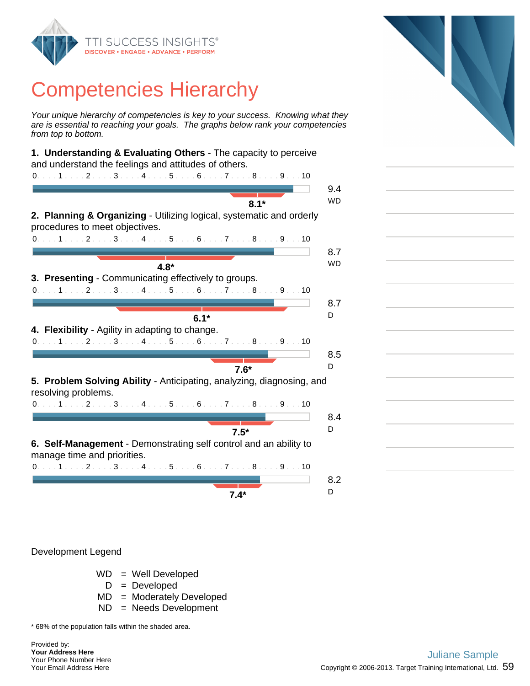

Your unique hierarchy of competencies is key to your success. Knowing what they are is essential to reaching your goals. The graphs below rank your competencies from top to bottom.

| 1. Understanding & Evaluating Others - The capacity to perceive                                        |           |
|--------------------------------------------------------------------------------------------------------|-----------|
| and understand the feelings and attitudes of others.                                                   |           |
| $0.1.1.1.1.2.1.1.3.1.1.4.1.1.5.1.16.1.1.7.1.1.8.1.1.9.1.10$                                            |           |
|                                                                                                        | 9.4       |
|                                                                                                        | <b>WD</b> |
| $8.1*$                                                                                                 |           |
| 2. Planning & Organizing - Utilizing logical, systematic and orderly<br>procedures to meet objectives. |           |
| $0.1.1.1.1.2.1.1.3.1.1.4.1.1.5.1.16.1.1.7.1.1.8.1.1.9.1.10$                                            |           |
|                                                                                                        | 8.7       |
|                                                                                                        | <b>WD</b> |
| $4.8*$                                                                                                 |           |
| 3. Presenting - Communicating effectively to groups.                                                   |           |
| 0. 1 2 3 4 5 6 7 8 9 10                                                                                |           |
|                                                                                                        | 8.7       |
|                                                                                                        | D         |
| $6.1*$                                                                                                 |           |
| 4. Flexibility - Agility in adapting to change.                                                        |           |
| 0. 1 2 3 4 5 6 7 8 9 10                                                                                |           |
|                                                                                                        | 8.5       |
|                                                                                                        | D         |
| $7.6*$                                                                                                 |           |
| 5. Problem Solving Ability - Anticipating, analyzing, diagnosing, and<br>resolving problems.           |           |
| $0. \ldots 1 \ldots 2 \ldots 3 \ldots 4 \ldots 5 \ldots 6 \ldots 7 \ldots 8 \ldots 9 \ldots 10$        |           |
|                                                                                                        | 8.4       |
|                                                                                                        | D         |
| $7.5*$                                                                                                 |           |
| 6. Self-Management - Demonstrating self control and an ability to                                      |           |
| manage time and priorities.                                                                            |           |
| 0. 1 2 3 4 5 6 7 8 9 10                                                                                |           |
|                                                                                                        | 8.2       |
|                                                                                                        |           |
| $7.4*$                                                                                                 | D         |
|                                                                                                        |           |

#### Development Legend

- WD = Well Developed
	- $D = Developed$
- MD = Moderately Developed
- ND = Needs Development

\* 68% of the population falls within the shaded area.

Provided by: **Your Address Here** Your Phone Number Here Your Email Address Here

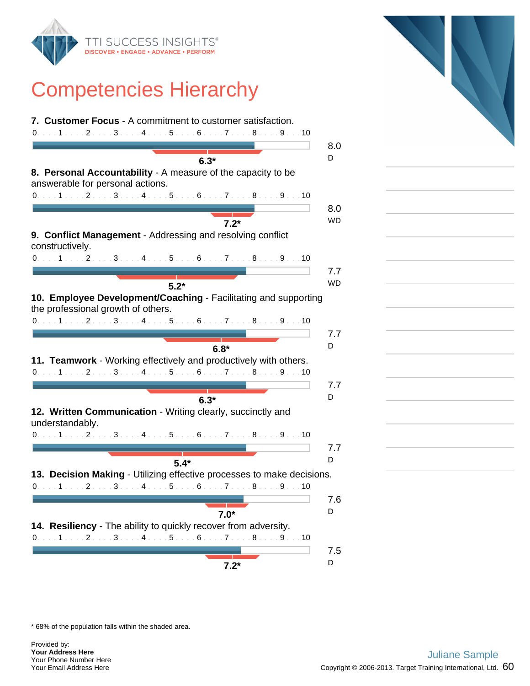

| 7. Customer Focus - A commitment to customer satisfaction.                                                                                                         |           |
|--------------------------------------------------------------------------------------------------------------------------------------------------------------------|-----------|
| 0. 1 2 3 4 5 6 7 8 9 10                                                                                                                                            |           |
|                                                                                                                                                                    | 8.0       |
| $6.3*$                                                                                                                                                             | D         |
| 8. Personal Accountability - A measure of the capacity to be                                                                                                       |           |
| answerable for personal actions.                                                                                                                                   |           |
| 0. 1 2 3 4 5 6 7 8 9 10                                                                                                                                            |           |
|                                                                                                                                                                    | 8.0       |
| $7.2*$                                                                                                                                                             | <b>WD</b> |
| 9. Conflict Management - Addressing and resolving conflict                                                                                                         |           |
| constructively.                                                                                                                                                    |           |
| 0. 1 2 3 4 5 6 7 8 9 10                                                                                                                                            |           |
|                                                                                                                                                                    | 7.7       |
|                                                                                                                                                                    | <b>WD</b> |
| $5.2*$                                                                                                                                                             |           |
| 10. Employee Development/Coaching - Facilitating and supporting                                                                                                    |           |
| the professional growth of others.                                                                                                                                 |           |
| 0. 1 2 3 4 5 6 7 8 9 10                                                                                                                                            |           |
|                                                                                                                                                                    | 7.7       |
| $6.8*$                                                                                                                                                             | D         |
| 11. Teamwork - Working effectively and productively with others.                                                                                                   |           |
| 0. 1 2 3 4 5 6 7 8 9 10                                                                                                                                            |           |
|                                                                                                                                                                    | 7.7       |
| $6.3*$                                                                                                                                                             | D         |
| 12. Written Communication - Writing clearly, succinctly and                                                                                                        |           |
| understandably.                                                                                                                                                    |           |
| $0. \ldots 1 \ldots 2 \ldots 3 \ldots 4 \ldots 5 \ldots 6 \ldots 7 \ldots 8 \ldots 9 \ldots 10$                                                                    |           |
|                                                                                                                                                                    | 7.7       |
| $5.4*$                                                                                                                                                             | D         |
| 13. Decision Making - Utilizing effective processes to make decisions.                                                                                             |           |
| 0. 1 2 3 4 5 6 7 8 9 10                                                                                                                                            |           |
|                                                                                                                                                                    |           |
|                                                                                                                                                                    | 7.6       |
| $7.0*$                                                                                                                                                             | D         |
|                                                                                                                                                                    |           |
|                                                                                                                                                                    |           |
|                                                                                                                                                                    |           |
| 14. Resiliency - The ability to quickly recover from adversity.<br>$0. \ldots 1 \ldots 2 \ldots 3 \ldots 4 \ldots 5 \ldots 6 \ldots 7 \ldots 8 \ldots 9 \ldots 10$ | 7.5       |



\* 68% of the population falls within the shaded area.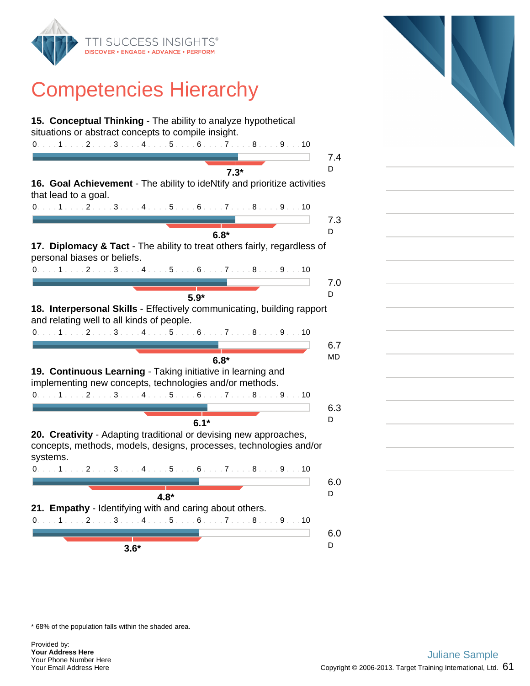

| 15. Conceptual Thinking - The ability to analyze hypothetical                                                          |          |
|------------------------------------------------------------------------------------------------------------------------|----------|
| situations or abstract concepts to compile insight.                                                                    |          |
| 0. 1 2 3 4 5 6 7 8 9 10                                                                                                |          |
|                                                                                                                        | 7.4      |
| $7.3*$                                                                                                                 | D        |
| 16. Goal Achievement - The ability to ideNtify and prioritize activities<br>that lead to a goal.                       |          |
| $0. \ldots 1 \ldots 2 \ldots 3 \ldots 4 \ldots 5 \ldots 6 \ldots 7 \ldots 8 \ldots 9 \ldots 10$                        |          |
|                                                                                                                        | 7.3      |
| $6.8*$                                                                                                                 | D        |
| 17. Diplomacy & Tact - The ability to treat others fairly, regardless of<br>personal biases or beliefs.                |          |
| 0. 1 2 3 4 5 6 7 8 9 10                                                                                                |          |
|                                                                                                                        | 7.0      |
|                                                                                                                        | D        |
| $5.9*$                                                                                                                 |          |
| 18. Interpersonal Skills - Effectively communicating, building rapport<br>and relating well to all kinds of people.    |          |
| 0. 1 2 3 4 5 6 7 8 9 10                                                                                                |          |
|                                                                                                                        | 6.7      |
| $6.8*$                                                                                                                 | MD       |
| 19. Continuous Learning - Taking initiative in learning and<br>implementing new concepts, technologies and/or methods. |          |
| 0. 1 2 3 4 5 6 7 8 9 10                                                                                                |          |
|                                                                                                                        | 6.3      |
| $6.1*$                                                                                                                 | D        |
| 20. Creativity - Adapting traditional or devising new approaches,                                                      |          |
| concepts, methods, models, designs, processes, technologies and/or<br>systems.                                         |          |
| $0. \ldots 1 \ldots 2 \ldots 3 \ldots 4 \ldots 5 \ldots 6 \ldots 7 \ldots 8 \ldots 9 \ldots 10$                        |          |
|                                                                                                                        | 6.0      |
|                                                                                                                        | D        |
| $4.8*$                                                                                                                 |          |
| 21. Empathy - Identifying with and caring about others.                                                                |          |
|                                                                                                                        |          |
| 0. 1 2 3 4 5 6 7 8 9 10                                                                                                |          |
|                                                                                                                        | 6.0<br>D |

\* 68% of the population falls within the shaded area.

Provided by: **Your Address Here** Your Phone Number Here Your Email Address Here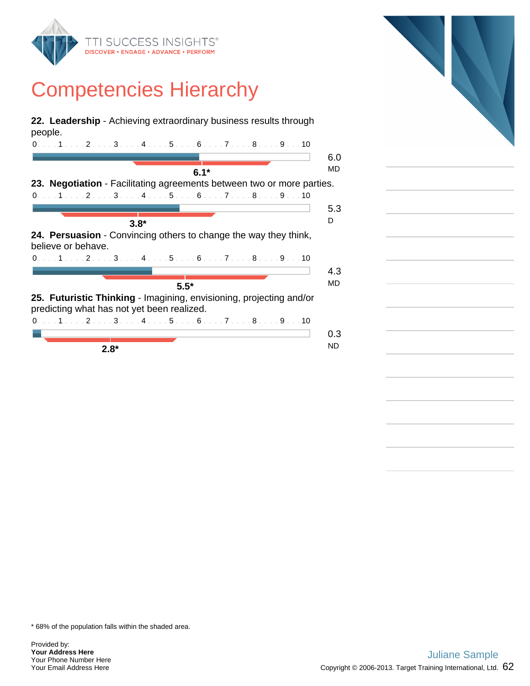

**22. Leadership** - Achieving extraordinary business results through people.

| 0. 1 2 3 4 5 6 7 8 9 10                                                 |     |
|-------------------------------------------------------------------------|-----|
|                                                                         | 6.0 |
|                                                                         | MD  |
| $6.1*$                                                                  |     |
| 23. Negotiation - Facilitating agreements between two or more parties.  |     |
| 0. 1 2 3 4 5 6 7 8 9 10                                                 |     |
|                                                                         | 5.3 |
| $3.8*$                                                                  | D   |
|                                                                         |     |
| <b>24. Persuasion</b> - Convincing others to change the way they think, |     |
| believe or behave.                                                      |     |
|                                                                         |     |
| 0. 1 2 3 4 5 6 7 8 9 10                                                 |     |
|                                                                         | 4.3 |
|                                                                         | MD  |
| $5.5*$                                                                  |     |
| 25. Futuristic Thinking - Imagining, envisioning, projecting and/or     |     |
|                                                                         |     |
| predicting what has not yet been realized.                              |     |
| 0. 1 2 3 4 5 6 7 8 9 10                                                 |     |
|                                                                         | 0.3 |
|                                                                         | ND  |
| $2.8*$                                                                  |     |

\* 68% of the population falls within the shaded area.

Provided by: **Your Address Here** Your Phone Number Here Your Email Address Here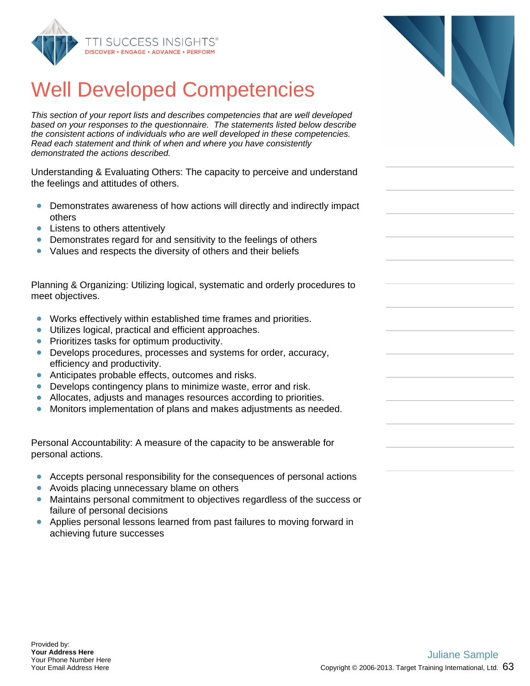

#### Well Developed Competencies

This section of your report lists and describes competencies that are well developed based on your responses to the questionnaire. The statements listed below describe the consistent actions of individuals who are well developed in these competencies. Read each statement and think of when and where you have consistently demonstrated the actions described.

Understanding & Evaluating Others: The capacity to perceive and understand the feelings and attitudes of others.

- Demonstrates awareness of how actions will directly and indirectly impact others
- Listens to others attentively
- Demonstrates regard for and sensitivity to the feelings of others
- Values and respects the diversity of others and their beliefs

Planning & Organizing: Utilizing logical, systematic and orderly procedures to meet objectives.

- $\bullet$ Works effectively within established time frames and priorities.
- Utilizes logical, practical and efficient approaches.  $\bullet$
- Prioritizes tasks for optimum productivity.  $\bullet$
- Develops procedures, processes and systems for order, accuracy, efficiency and productivity.
- $\bullet$ Anticipates probable effects, outcomes and risks.
- Develops contingency plans to minimize waste, error and risk.
- Allocates, adjusts and manages resources according to priorities.
- Monitors implementation of plans and makes adjustments as needed.  $\bullet$

Personal Accountability: A measure of the capacity to be answerable for personal actions.

- $\bullet$ Accepts personal responsibility for the consequences of personal actions
- Avoids placing unnecessary blame on others  $\bullet$
- $\bullet$ Maintains personal commitment to objectives regardless of the success or failure of personal decisions
- $\bullet$ Applies personal lessons learned from past failures to moving forward in achieving future successes

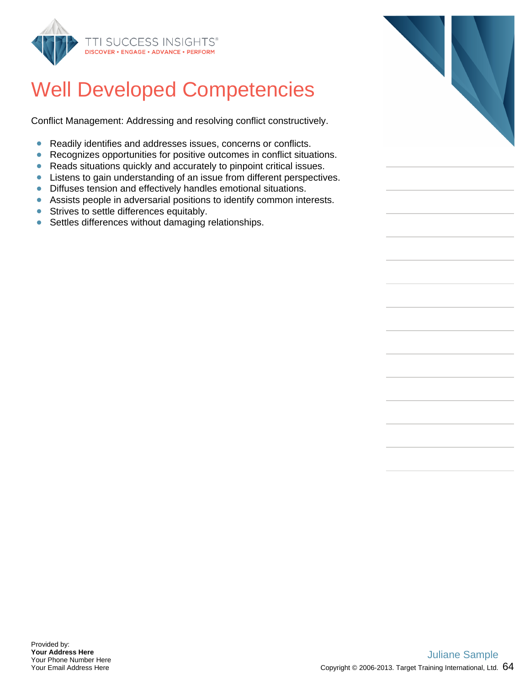

#### Well Developed Competencies

Conflict Management: Addressing and resolving conflict constructively.

- $\bullet$ Readily identifies and addresses issues, concerns or conflicts.
- Recognizes opportunities for positive outcomes in conflict situations.  $\bullet$
- Reads situations quickly and accurately to pinpoint critical issues.  $\bullet$
- Listens to gain understanding of an issue from different perspectives.
- Diffuses tension and effectively handles emotional situations.
- Assists people in adversarial positions to identify common interests.
- **•** Strives to settle differences equitably.
- Settles differences without damaging relationships.

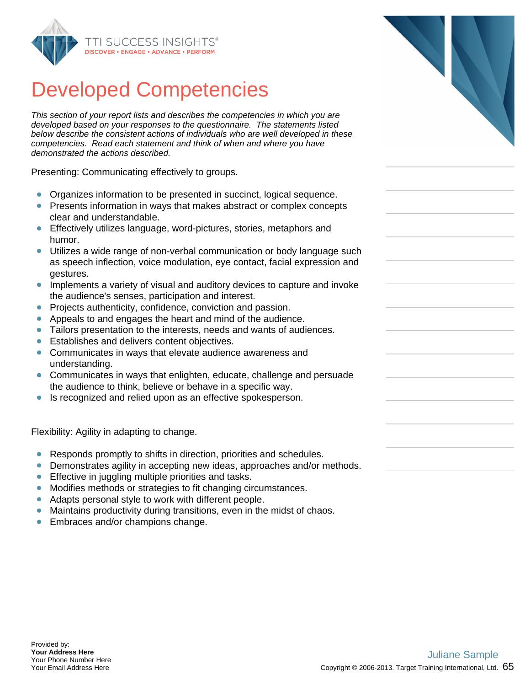

This section of your report lists and describes the competencies in which you are developed based on your responses to the questionnaire. The statements listed below describe the consistent actions of individuals who are well developed in these competencies. Read each statement and think of when and where you have demonstrated the actions described.

Presenting: Communicating effectively to groups.

- Organizes information to be presented in succinct, logical sequence.  $\bullet$
- Presents information in ways that makes abstract or complex concepts clear and understandable.
- Effectively utilizes language, word-pictures, stories, metaphors and humor.
- Utilizes a wide range of non-verbal communication or body language such as speech inflection, voice modulation, eye contact, facial expression and gestures.
- $\bullet$ Implements a variety of visual and auditory devices to capture and invoke the audience's senses, participation and interest.
- Projects authenticity, confidence, conviction and passion.  $\bullet$
- $\bullet$ Appeals to and engages the heart and mind of the audience.
- Tailors presentation to the interests, needs and wants of audiences.
- $\bullet$ Establishes and delivers content objectives.
- Communicates in ways that elevate audience awareness and understanding.
- $\bullet$ Communicates in ways that enlighten, educate, challenge and persuade the audience to think, believe or behave in a specific way.
- Is recognized and relied upon as an effective spokesperson.

Flexibility: Agility in adapting to change.

- Responds promptly to shifts in direction, priorities and schedules.  $\bullet$
- Demonstrates agility in accepting new ideas, approaches and/or methods.  $\bullet$
- **Effective in juggling multiple priorities and tasks.**
- Modifies methods or strategies to fit changing circumstances.
- $\bullet$ Adapts personal style to work with different people.
- Maintains productivity during transitions, even in the midst of chaos.  $\bullet$
- Embraces and/or champions change.  $\bullet$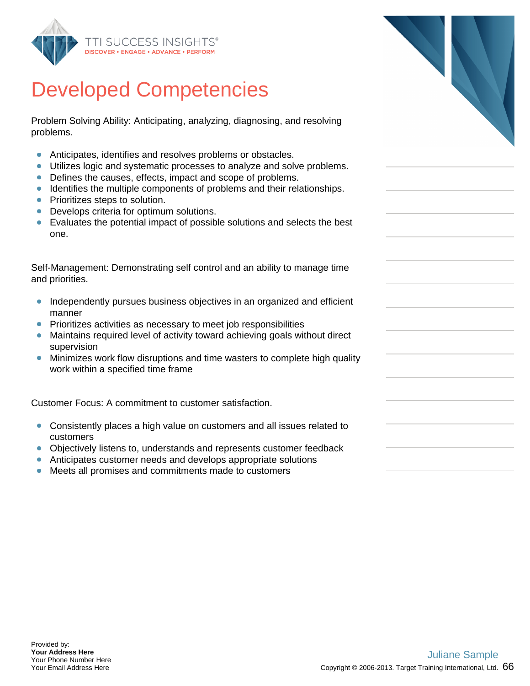

Problem Solving Ability: Anticipating, analyzing, diagnosing, and resolving problems.

- Anticipates, identifies and resolves problems or obstacles.  $\bullet$
- Utilizes logic and systematic processes to analyze and solve problems.
- Defines the causes, effects, impact and scope of problems.
- **IDENTIFIER 1** Identifies the multiple components of problems and their relationships.
- Prioritizes steps to solution.
- Develops criteria for optimum solutions.
- Evaluates the potential impact of possible solutions and selects the best one.

Self-Management: Demonstrating self control and an ability to manage time and priorities.

- Independently pursues business objectives in an organized and efficient  $\bullet$ manner
- **•** Prioritizes activities as necessary to meet job responsibilities
- Maintains required level of activity toward achieving goals without direct supervision
- Minimizes work flow disruptions and time wasters to complete high quality work within a specified time frame

Customer Focus: A commitment to customer satisfaction.

- Consistently places a high value on customers and all issues related to customers
- $\bullet$ Objectively listens to, understands and represents customer feedback
- Anticipates customer needs and develops appropriate solutions
- Meets all promises and commitments made to customers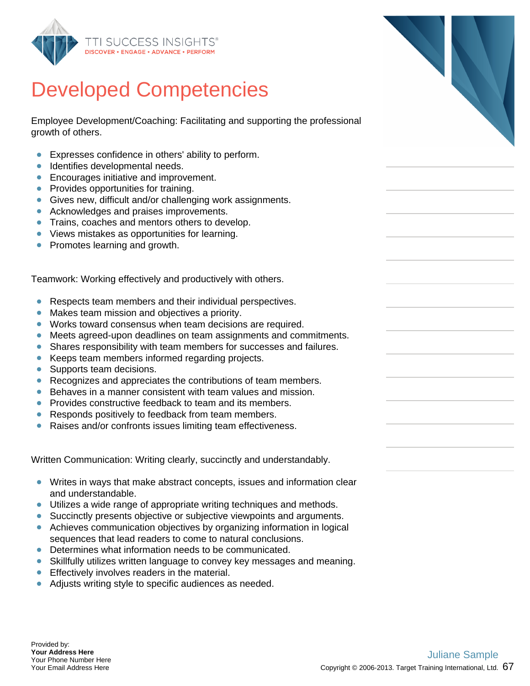

Employee Development/Coaching: Facilitating and supporting the professional growth of others.

- Expresses confidence in others' ability to perform.  $\bullet$
- $\bullet$ Identifies developmental needs.
- **Encourages initiative and improvement.**
- Provides opportunities for training.
- Gives new, difficult and/or challenging work assignments.
- Acknowledges and praises improvements.
- **Trains, coaches and mentors others to develop.**
- Views mistakes as opportunities for learning.  $\bullet$
- Promotes learning and growth.

Teamwork: Working effectively and productively with others.

- Respects team members and their individual perspectives.  $\bullet$
- Makes team mission and objectives a priority.  $\bullet$
- Works toward consensus when team decisions are required.
- Meets agreed-upon deadlines on team assignments and commitments.
- $\bullet$ Shares responsibility with team members for successes and failures.
- Keeps team members informed regarding projects.  $\bullet$
- Supports team decisions.  $\bullet$
- $\bullet$ Recognizes and appreciates the contributions of team members.
- Behaves in a manner consistent with team values and mission.  $\bullet$
- $\bullet$ Provides constructive feedback to team and its members.
- Responds positively to feedback from team members.  $\bullet$
- $\bullet$ Raises and/or confronts issues limiting team effectiveness.

Written Communication: Writing clearly, succinctly and understandably.

- Writes in ways that make abstract concepts, issues and information clear and understandable.
- Utilizes a wide range of appropriate writing techniques and methods.
- Succinctly presents objective or subjective viewpoints and arguments.
- Achieves communication objectives by organizing information in logical sequences that lead readers to come to natural conclusions.
- Determines what information needs to be communicated.
- Skillfully utilizes written language to convey key messages and meaning.
- **Effectively involves readers in the material.**
- Adjusts writing style to specific audiences as needed.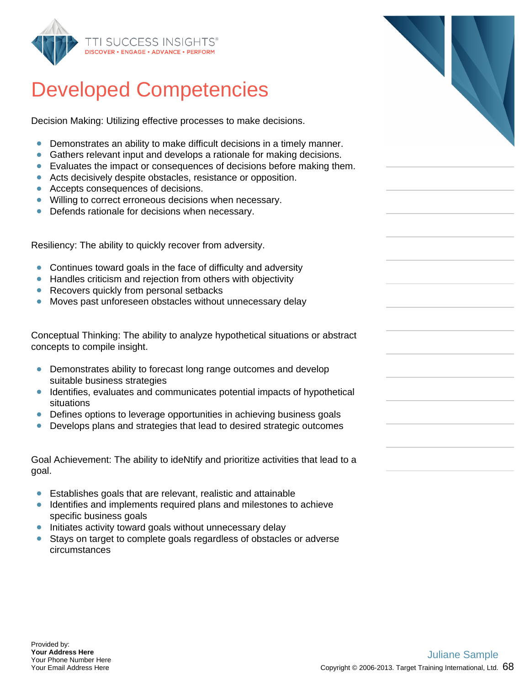

Decision Making: Utilizing effective processes to make decisions.

- Demonstrates an ability to make difficult decisions in a timely manner.  $\bullet$
- Gathers relevant input and develops a rationale for making decisions.
- Evaluates the impact or consequences of decisions before making them.
- Acts decisively despite obstacles, resistance or opposition.
- Accepts consequences of decisions.
- **•** Willing to correct erroneous decisions when necessary.
- Defends rationale for decisions when necessary.

Resiliency: The ability to quickly recover from adversity.

- Continues toward goals in the face of difficulty and adversity
- Handles criticism and rejection from others with objectivity
- Recovers quickly from personal setbacks
- Moves past unforeseen obstacles without unnecessary delay

Conceptual Thinking: The ability to analyze hypothetical situations or abstract concepts to compile insight.

- Demonstrates ability to forecast long range outcomes and develop suitable business strategies
- Identifies, evaluates and communicates potential impacts of hypothetical situations
- Defines options to leverage opportunities in achieving business goals
- Develops plans and strategies that lead to desired strategic outcomes  $\bullet$

Goal Achievement: The ability to ideNtify and prioritize activities that lead to a goal.

- Establishes goals that are relevant, realistic and attainable
- **Identifies and implements required plans and milestones to achieve** specific business goals
- Initiates activity toward goals without unnecessary delay
- Stays on target to complete goals regardless of obstacles or adverse circumstances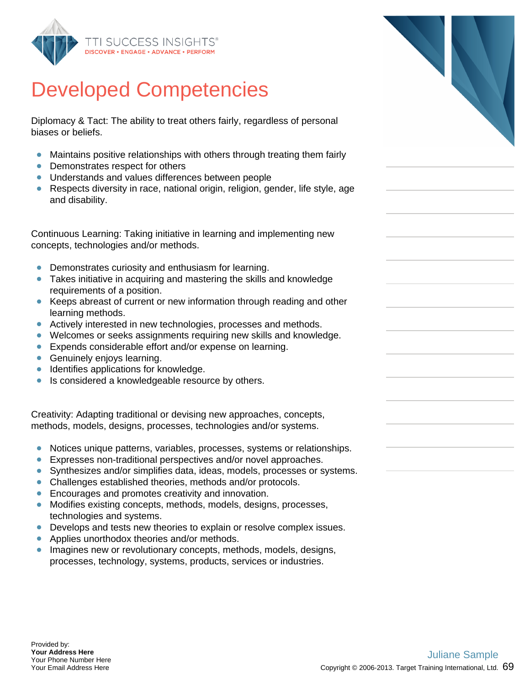

Diplomacy & Tact: The ability to treat others fairly, regardless of personal biases or beliefs.

- Maintains positive relationships with others through treating them fairly
- Demonstrates respect for others
- Understands and values differences between people
- Respects diversity in race, national origin, religion, gender, life style, age and disability.

Continuous Learning: Taking initiative in learning and implementing new concepts, technologies and/or methods.

- Demonstrates curiosity and enthusiasm for learning.  $\bullet$
- Takes initiative in acquiring and mastering the skills and knowledge requirements of a position.
- Keeps abreast of current or new information through reading and other learning methods.
- Actively interested in new technologies, processes and methods.
- Welcomes or seeks assignments requiring new skills and knowledge.
- **Expends considerable effort and/or expense on learning.**
- **Genuinely enjoys learning.**
- Identifies applications for knowledge.  $\bullet$
- $\bullet$ Is considered a knowledgeable resource by others.

Creativity: Adapting traditional or devising new approaches, concepts, methods, models, designs, processes, technologies and/or systems.

- $\bullet$ Notices unique patterns, variables, processes, systems or relationships.
- Expresses non-traditional perspectives and/or novel approaches.  $\bullet$
- Synthesizes and/or simplifies data, ideas, models, processes or systems.
- Challenges established theories, methods and/or protocols.
- **Encourages and promotes creativity and innovation.**
- Modifies existing concepts, methods, models, designs, processes, technologies and systems.
- Develops and tests new theories to explain or resolve complex issues.
- **•** Applies unorthodox theories and/or methods.
- **Imagines new or revolutionary concepts, methods, models, designs,** processes, technology, systems, products, services or industries.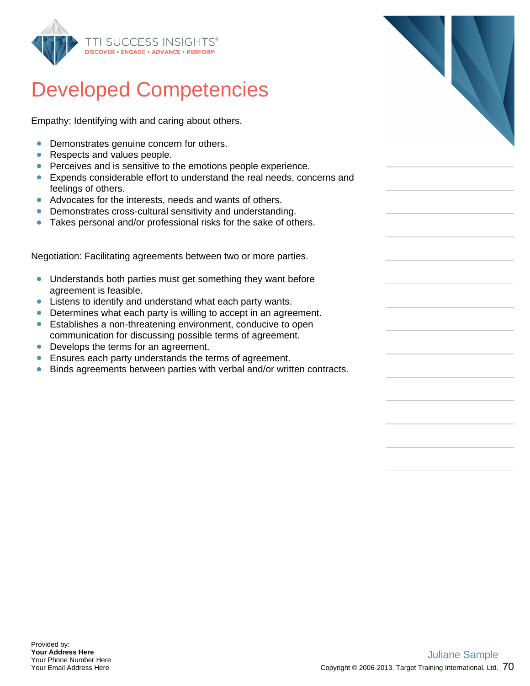

Empathy: Identifying with and caring about others.

- Demonstrates genuine concern for others.  $\bullet$
- Respects and values people.
- **Perceives and is sensitive to the emotions people experience.**
- Expends considerable effort to understand the real needs, concerns and feelings of others.
- Advocates for the interests, needs and wants of others.
- Demonstrates cross-cultural sensitivity and understanding.
- Takes personal and/or professional risks for the sake of others.

Negotiation: Facilitating agreements between two or more parties.

- Understands both parties must get something they want before agreement is feasible.
- **EXTER** Listens to identify and understand what each party wants.
- Determines what each party is willing to accept in an agreement.
- Establishes a non-threatening environment, conducive to open communication for discussing possible terms of agreement.
- Develops the terms for an agreement.
- **Ensures each party understands the terms of agreement.**
- Binds agreements between parties with verbal and/or written contracts.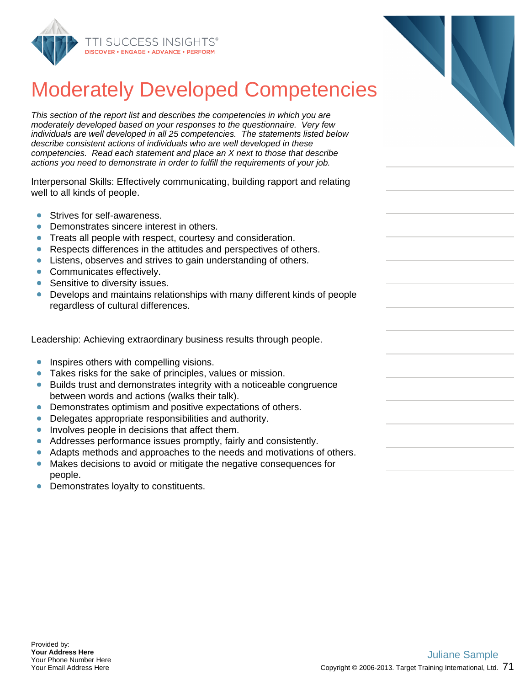

## Moderately Developed Competencies

This section of the report list and describes the competencies in which you are moderately developed based on your responses to the questionnaire. Very few individuals are well developed in all 25 competencies. The statements listed below describe consistent actions of individuals who are well developed in these competencies. Read each statement and place an X next to those that describe actions you need to demonstrate in order to fulfill the requirements of your job.

Interpersonal Skills: Effectively communicating, building rapport and relating well to all kinds of people.

- Strives for self-awareness.
- Demonstrates sincere interest in others.
- Treats all people with respect, courtesy and consideration.  $\bullet$
- Respects differences in the attitudes and perspectives of others.  $\bullet$
- Listens, observes and strives to gain understanding of others.
- Communicates effectively.
- Sensitive to diversity issues.
- Develops and maintains relationships with many different kinds of people regardless of cultural differences.

Leadership: Achieving extraordinary business results through people.

- Inspires others with compelling visions.  $\bullet$
- Takes risks for the sake of principles, values or mission.  $\bullet$
- $\bullet$ Builds trust and demonstrates integrity with a noticeable congruence between words and actions (walks their talk).
- Demonstrates optimism and positive expectations of others.
- Delegates appropriate responsibilities and authority.  $\bullet$
- Involves people in decisions that affect them.
- Addresses performance issues promptly, fairly and consistently.  $\bullet$
- Adapts methods and approaches to the needs and motivations of others.
- Makes decisions to avoid or mitigate the negative consequences for  $\bullet$ people.
- Demonstrates loyalty to constituents.  $\bullet$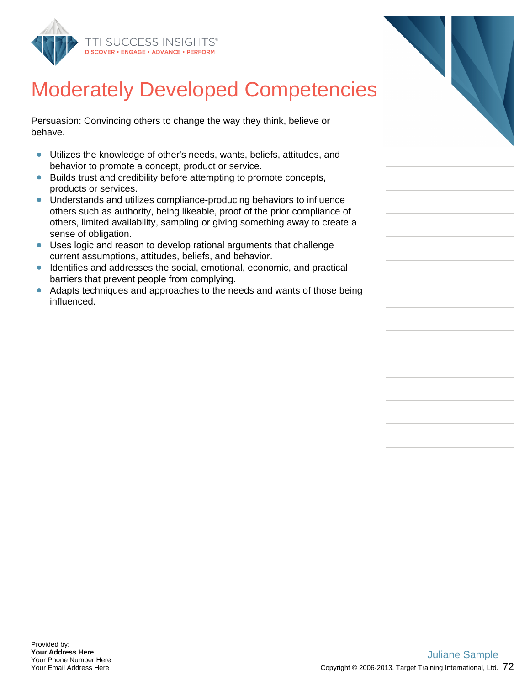

## Moderately Developed Competencies

Persuasion: Convincing others to change the way they think, believe or behave.

- Utilizes the knowledge of other's needs, wants, beliefs, attitudes, and  $\bullet$ behavior to promote a concept, product or service.
- Builds trust and credibility before attempting to promote concepts, products or services.
- Understands and utilizes compliance-producing behaviors to influence others such as authority, being likeable, proof of the prior compliance of others, limited availability, sampling or giving something away to create a sense of obligation.
- Uses logic and reason to develop rational arguments that challenge current assumptions, attitudes, beliefs, and behavior.
- Identifies and addresses the social, emotional, economic, and practical barriers that prevent people from complying.
- Adapts techniques and approaches to the needs and wants of those being influenced.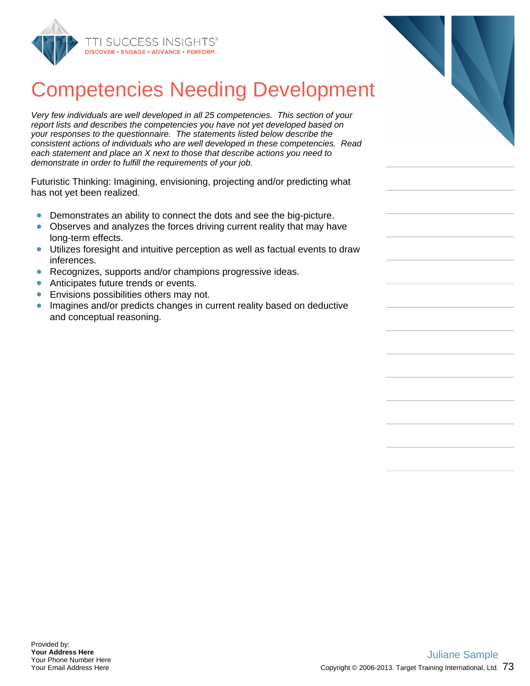

## Competencies Needing Development

Very few individuals are well developed in all 25 competencies. This section of your report lists and describes the competencies you have not yet developed based on your responses to the questionnaire. The statements listed below describe the consistent actions of individuals who are well developed in these competencies. Read each statement and place an X next to those that describe actions you need to demonstrate in order to fulfill the requirements of your job.

Futuristic Thinking: Imagining, envisioning, projecting and/or predicting what has not yet been realized.

- Demonstrates an ability to connect the dots and see the big-picture.
- Observes and analyzes the forces driving current reality that may have  $\bullet$ long-term effects.
- Utilizes foresight and intuitive perception as well as factual events to draw inferences.
- Recognizes, supports and/or champions progressive ideas.  $\bullet$
- **Anticipates future trends or events.**
- $\bullet$ Envisions possibilities others may not.
- **Imagines and/or predicts changes in current reality based on deductive** and conceptual reasoning.